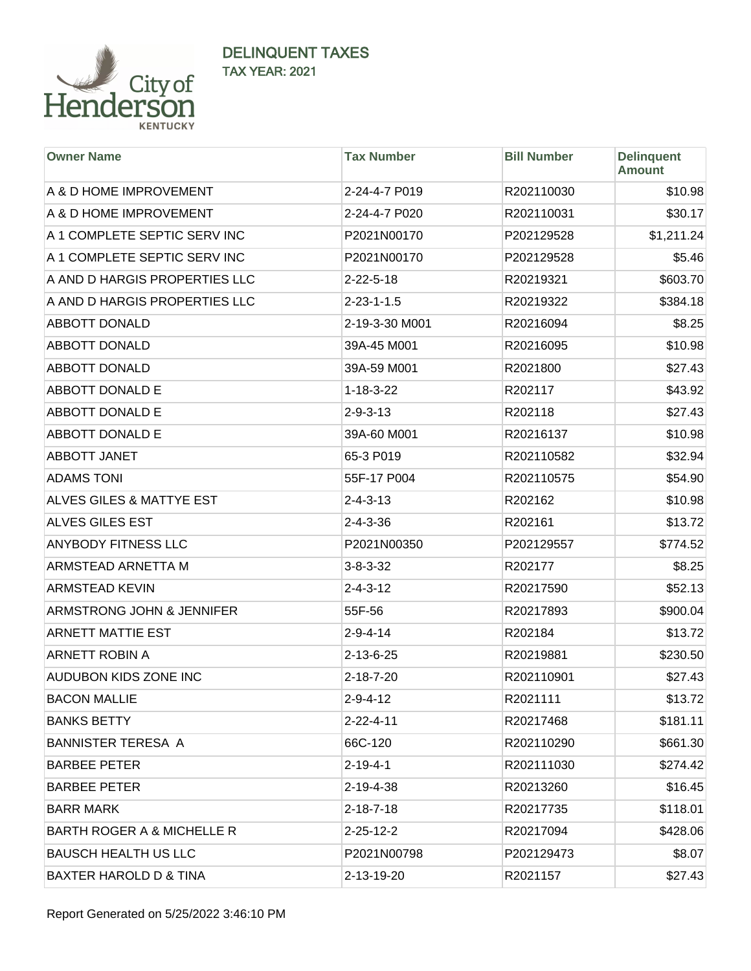

| <b>Owner Name</b>                   | <b>Tax Number</b>  | <b>Bill Number</b> | <b>Delinquent</b><br><b>Amount</b> |
|-------------------------------------|--------------------|--------------------|------------------------------------|
| A & D HOME IMPROVEMENT              | 2-24-4-7 P019      | R202110030         | \$10.98                            |
| A & D HOME IMPROVEMENT              | 2-24-4-7 P020      | R202110031         | \$30.17                            |
| A 1 COMPLETE SEPTIC SERV INC        | P2021N00170        | P202129528         | \$1,211.24                         |
| A 1 COMPLETE SEPTIC SERV INC        | P2021N00170        | P202129528         | \$5.46                             |
| A AND D HARGIS PROPERTIES LLC       | $2 - 22 - 5 - 18$  | R20219321          | \$603.70                           |
| A AND D HARGIS PROPERTIES LLC       | $2 - 23 - 1 - 1.5$ | R20219322          | \$384.18                           |
| <b>ABBOTT DONALD</b>                | 2-19-3-30 M001     | R20216094          | \$8.25                             |
| <b>ABBOTT DONALD</b>                | 39A-45 M001        | R20216095          | \$10.98                            |
| <b>ABBOTT DONALD</b>                | 39A-59 M001        | R2021800           | \$27.43                            |
| ABBOTT DONALD E                     | $1 - 18 - 3 - 22$  | R202117            | \$43.92                            |
| <b>ABBOTT DONALD E</b>              | $2 - 9 - 3 - 13$   | R202118            | \$27.43                            |
| ABBOTT DONALD E                     | 39A-60 M001        | R20216137          | \$10.98                            |
| <b>ABBOTT JANET</b>                 | 65-3 P019          | R202110582         | \$32.94                            |
| <b>ADAMS TONI</b>                   | 55F-17 P004        | R202110575         | \$54.90                            |
| <b>ALVES GILES &amp; MATTYE EST</b> | $2 - 4 - 3 - 13$   | R202162            | \$10.98                            |
| <b>ALVES GILES EST</b>              | $2 - 4 - 3 - 36$   | R202161            | \$13.72                            |
| ANYBODY FITNESS LLC                 | P2021N00350        | P202129557         | \$774.52                           |
| ARMSTEAD ARNETTA M                  | $3 - 8 - 3 - 32$   | R202177            | \$8.25                             |
| <b>ARMSTEAD KEVIN</b>               | $2 - 4 - 3 - 12$   | R20217590          | \$52.13                            |
| ARMSTRONG JOHN & JENNIFER           | 55F-56             | R20217893          | \$900.04                           |
| <b>ARNETT MATTIE EST</b>            | $2 - 9 - 4 - 14$   | R202184            | \$13.72                            |
| <b>ARNETT ROBIN A</b>               | 2-13-6-25          | R20219881          | \$230.50                           |
| AUDUBON KIDS ZONE INC               | $2 - 18 - 7 - 20$  | R202110901         | \$27.43                            |
| <b>BACON MALLIE</b>                 | $2 - 9 - 4 - 12$   | R2021111           | \$13.72                            |
| <b>BANKS BETTY</b>                  | $2 - 22 - 4 - 11$  | R20217468          | \$181.11                           |
| <b>BANNISTER TERESA A</b>           | 66C-120            | R202110290         | \$661.30                           |
| <b>BARBEE PETER</b>                 | $2 - 19 - 4 - 1$   | R202111030         | \$274.42                           |
| <b>BARBEE PETER</b>                 | 2-19-4-38          | R20213260          | \$16.45                            |
| <b>BARR MARK</b>                    | $2 - 18 - 7 - 18$  | R20217735          | \$118.01                           |
| BARTH ROGER A & MICHELLE R          | $2 - 25 - 12 - 2$  | R20217094          | \$428.06                           |
| <b>BAUSCH HEALTH US LLC</b>         | P2021N00798        | P202129473         | \$8.07                             |
| BAXTER HAROLD D & TINA              | 2-13-19-20         | R2021157           | \$27.43                            |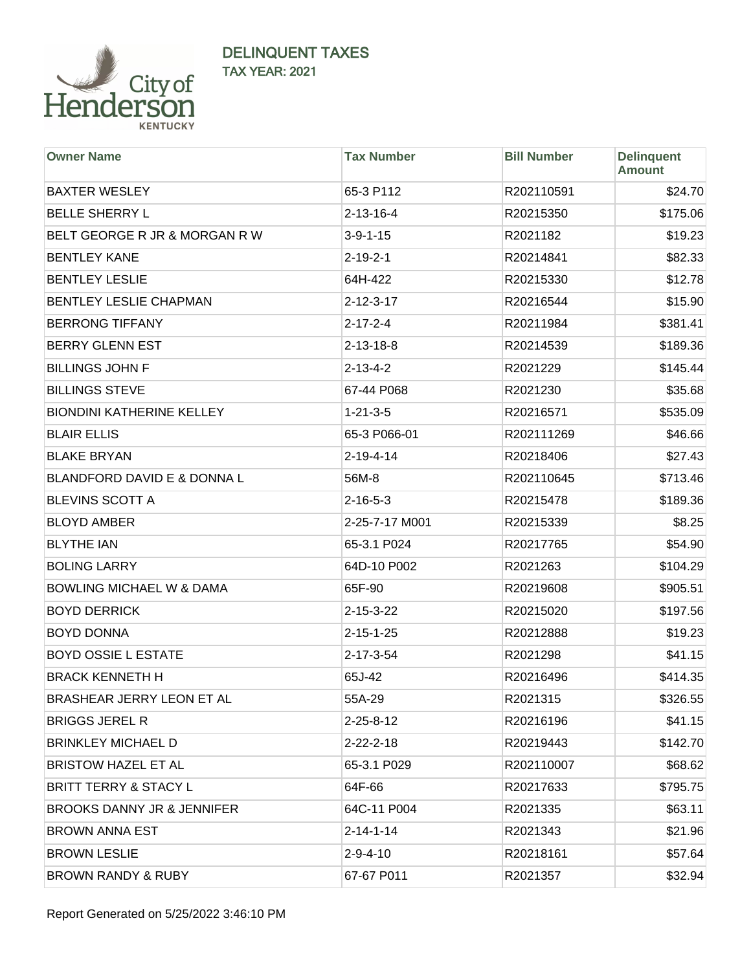

| <b>Owner Name</b>                      | <b>Tax Number</b> | <b>Bill Number</b> | <b>Delinquent</b><br><b>Amount</b> |
|----------------------------------------|-------------------|--------------------|------------------------------------|
| <b>BAXTER WESLEY</b>                   | 65-3 P112         | R202110591         | \$24.70                            |
| <b>BELLE SHERRY L</b>                  | $2 - 13 - 16 - 4$ | R20215350          | \$175.06                           |
| BELT GEORGE R JR & MORGAN R W          | $3-9-1-15$        | R2021182           | \$19.23                            |
| <b>BENTLEY KANE</b>                    | $2 - 19 - 2 - 1$  | R20214841          | \$82.33                            |
| <b>BENTLEY LESLIE</b>                  | 64H-422           | R20215330          | \$12.78                            |
| <b>BENTLEY LESLIE CHAPMAN</b>          | $2 - 12 - 3 - 17$ | R20216544          | \$15.90                            |
| <b>BERRONG TIFFANY</b>                 | $2 - 17 - 2 - 4$  | R20211984          | \$381.41                           |
| <b>BERRY GLENN EST</b>                 | $2 - 13 - 18 - 8$ | R20214539          | \$189.36                           |
| <b>BILLINGS JOHN F</b>                 | $2 - 13 - 4 - 2$  | R2021229           | \$145.44                           |
| <b>BILLINGS STEVE</b>                  | 67-44 P068        | R2021230           | \$35.68                            |
| <b>BIONDINI KATHERINE KELLEY</b>       | $1 - 21 - 3 - 5$  | R20216571          | \$535.09                           |
| <b>BLAIR ELLIS</b>                     | 65-3 P066-01      | R202111269         | \$46.66                            |
| <b>BLAKE BRYAN</b>                     | $2 - 19 - 4 - 14$ | R20218406          | \$27.43                            |
| <b>BLANDFORD DAVID E &amp; DONNA L</b> | 56M-8             | R202110645         | \$713.46                           |
| <b>BLEVINS SCOTT A</b>                 | $2 - 16 - 5 - 3$  | R20215478          | \$189.36                           |
| <b>BLOYD AMBER</b>                     | 2-25-7-17 M001    | R20215339          | \$8.25                             |
| <b>BLYTHE IAN</b>                      | 65-3.1 P024       | R20217765          | \$54.90                            |
| <b>BOLING LARRY</b>                    | 64D-10 P002       | R2021263           | \$104.29                           |
| <b>BOWLING MICHAEL W &amp; DAMA</b>    | 65F-90            | R20219608          | \$905.51                           |
| <b>BOYD DERRICK</b>                    | $2 - 15 - 3 - 22$ | R20215020          | \$197.56                           |
| <b>BOYD DONNA</b>                      | $2 - 15 - 1 - 25$ | R20212888          | \$19.23                            |
| <b>BOYD OSSIE L ESTATE</b>             | 2-17-3-54         | R2021298           | \$41.15                            |
| <b>BRACK KENNETH H</b>                 | 65J-42            | R20216496          | \$414.35                           |
| BRASHEAR JERRY LEON ET AL              | 55A-29            | R2021315           | \$326.55                           |
| <b>BRIGGS JEREL R</b>                  | $2 - 25 - 8 - 12$ | R20216196          | \$41.15                            |
| <b>BRINKLEY MICHAEL D</b>              | $2 - 22 - 2 - 18$ | R20219443          | \$142.70                           |
| <b>BRISTOW HAZEL ET AL</b>             | 65-3.1 P029       | R202110007         | \$68.62                            |
| <b>BRITT TERRY &amp; STACY L</b>       | 64F-66            | R20217633          | \$795.75                           |
| <b>BROOKS DANNY JR &amp; JENNIFER</b>  | 64C-11 P004       | R2021335           | \$63.11                            |
| <b>BROWN ANNA EST</b>                  | $2 - 14 - 1 - 14$ | R2021343           | \$21.96                            |
| <b>BROWN LESLIE</b>                    | $2 - 9 - 4 - 10$  | R20218161          | \$57.64                            |
| <b>BROWN RANDY &amp; RUBY</b>          | 67-67 P011        | R2021357           | \$32.94                            |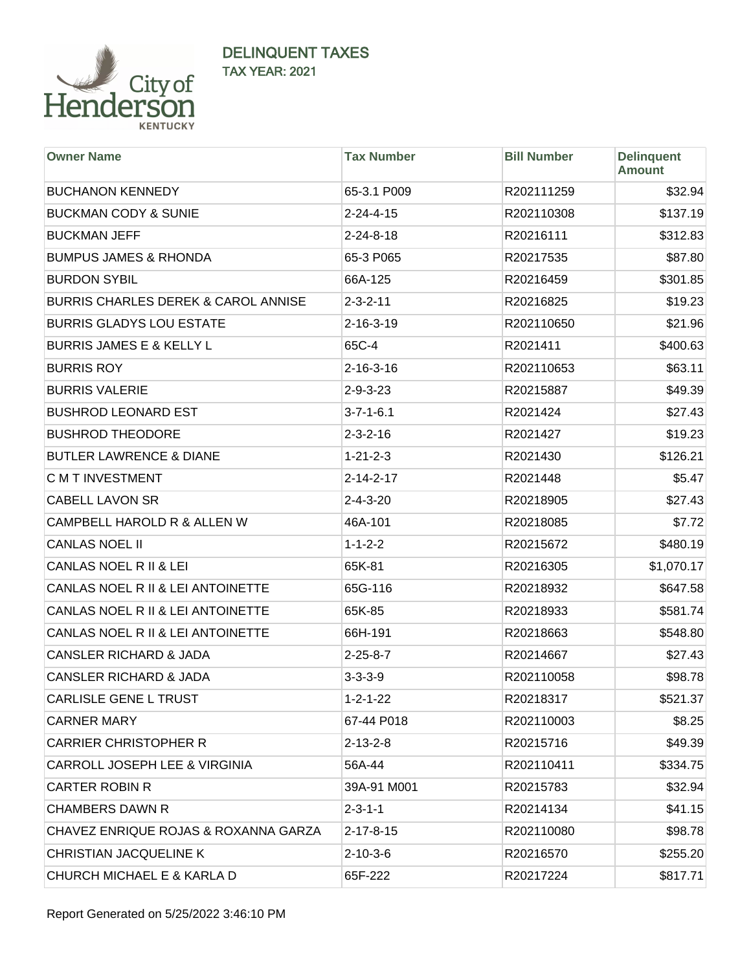

| <b>Owner Name</b>                              | <b>Tax Number</b> | <b>Bill Number</b> | <b>Delinquent</b><br><b>Amount</b> |
|------------------------------------------------|-------------------|--------------------|------------------------------------|
| <b>BUCHANON KENNEDY</b>                        | 65-3.1 P009       | R202111259         | \$32.94                            |
| <b>BUCKMAN CODY &amp; SUNIE</b>                | $2 - 24 - 4 - 15$ | R202110308         | \$137.19                           |
| <b>BUCKMAN JEFF</b>                            | $2 - 24 - 8 - 18$ | R20216111          | \$312.83                           |
| <b>BUMPUS JAMES &amp; RHONDA</b>               | 65-3 P065         | R20217535          | \$87.80                            |
| <b>BURDON SYBIL</b>                            | 66A-125           | R20216459          | \$301.85                           |
| <b>BURRIS CHARLES DEREK &amp; CAROL ANNISE</b> | $2 - 3 - 2 - 11$  | R20216825          | \$19.23                            |
| <b>BURRIS GLADYS LOU ESTATE</b>                | $2 - 16 - 3 - 19$ | R202110650         | \$21.96                            |
| <b>BURRIS JAMES E &amp; KELLY L</b>            | 65C-4             | R2021411           | \$400.63                           |
| <b>BURRIS ROY</b>                              | $2 - 16 - 3 - 16$ | R202110653         | \$63.11                            |
| <b>BURRIS VALERIE</b>                          | $2 - 9 - 3 - 23$  | R20215887          | \$49.39                            |
| <b>BUSHROD LEONARD EST</b>                     | $3 - 7 - 1 - 6.1$ | R2021424           | \$27.43                            |
| <b>BUSHROD THEODORE</b>                        | $2 - 3 - 2 - 16$  | R2021427           | \$19.23                            |
| <b>BUTLER LAWRENCE &amp; DIANE</b>             | $1 - 21 - 2 - 3$  | R2021430           | \$126.21                           |
| <b>C M T INVESTMENT</b>                        | $2 - 14 - 2 - 17$ | R2021448           | \$5.47                             |
| <b>CABELL LAVON SR</b>                         | $2 - 4 - 3 - 20$  | R20218905          | \$27.43                            |
| CAMPBELL HAROLD R & ALLEN W                    | 46A-101           | R20218085          | \$7.72                             |
| <b>CANLAS NOEL II</b>                          | $1 - 1 - 2 - 2$   | R20215672          | \$480.19                           |
| CANLAS NOEL R II & LEI                         | 65K-81            | R20216305          | \$1,070.17                         |
| CANLAS NOEL R II & LEI ANTOINETTE              | 65G-116           | R20218932          | \$647.58                           |
| CANLAS NOEL R II & LEI ANTOINETTE              | 65K-85            | R20218933          | \$581.74                           |
| CANLAS NOEL R II & LEI ANTOINETTE              | 66H-191           | R20218663          | \$548.80                           |
| <b>CANSLER RICHARD &amp; JADA</b>              | $2 - 25 - 8 - 7$  | R20214667          | \$27.43                            |
| <b>CANSLER RICHARD &amp; JADA</b>              | $3 - 3 - 3 - 9$   | R202110058         | \$98.78                            |
| <b>CARLISLE GENE L TRUST</b>                   | $1 - 2 - 1 - 22$  | R20218317          | \$521.37                           |
| <b>CARNER MARY</b>                             | 67-44 P018        | R202110003         | \$8.25                             |
| <b>CARRIER CHRISTOPHER R</b>                   | $2 - 13 - 2 - 8$  | R20215716          | \$49.39                            |
| CARROLL JOSEPH LEE & VIRGINIA                  | 56A-44            | R202110411         | \$334.75                           |
| <b>CARTER ROBIN R</b>                          | 39A-91 M001       | R20215783          | \$32.94                            |
| <b>CHAMBERS DAWN R</b>                         | $2 - 3 - 1 - 1$   | R20214134          | \$41.15                            |
| CHAVEZ ENRIQUE ROJAS & ROXANNA GARZA           | $2 - 17 - 8 - 15$ | R202110080         | \$98.78                            |
| CHRISTIAN JACQUELINE K                         | $2 - 10 - 3 - 6$  | R20216570          | \$255.20                           |
| CHURCH MICHAEL E & KARLA D                     | 65F-222           | R20217224          | \$817.71                           |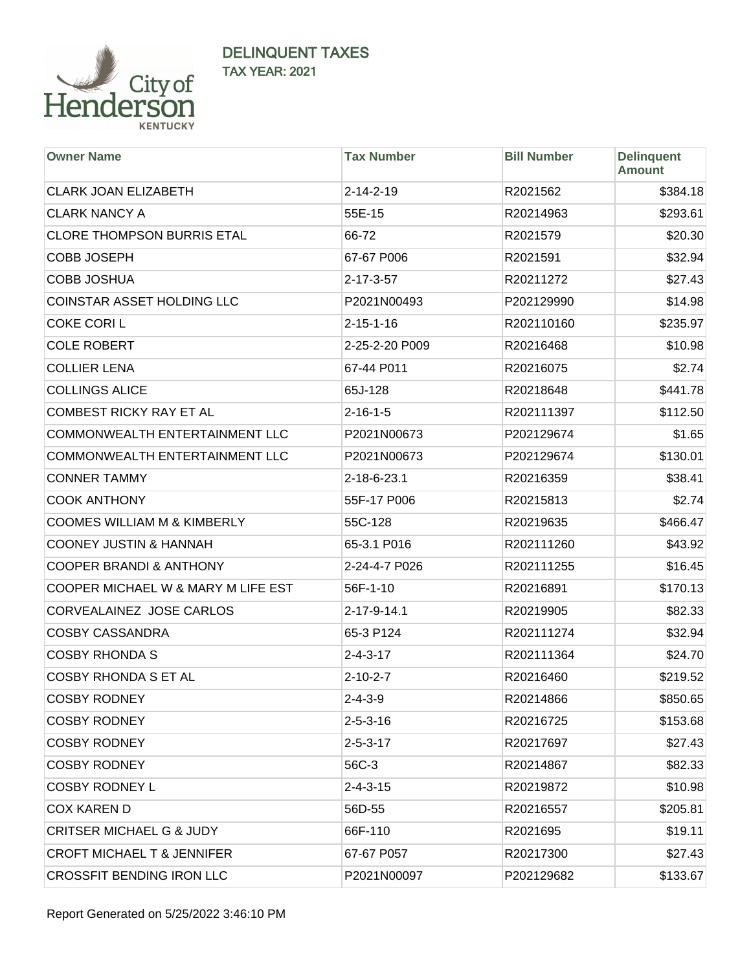

| <b>Owner Name</b>                      | <b>Tax Number</b> | <b>Bill Number</b> | <b>Delinquent</b><br><b>Amount</b> |
|----------------------------------------|-------------------|--------------------|------------------------------------|
| <b>CLARK JOAN ELIZABETH</b>            | $2 - 14 - 2 - 19$ | R2021562           | \$384.18                           |
| <b>CLARK NANCY A</b>                   | 55E-15            | R20214963          | \$293.61                           |
| <b>CLORE THOMPSON BURRIS ETAL</b>      | 66-72             | R2021579           | \$20.30                            |
| <b>COBB JOSEPH</b>                     | 67-67 P006        | R2021591           | \$32.94                            |
| <b>COBB JOSHUA</b>                     | $2 - 17 - 3 - 57$ | R20211272          | \$27.43                            |
| COINSTAR ASSET HOLDING LLC             | P2021N00493       | P202129990         | \$14.98                            |
| <b>COKE CORIL</b>                      | $2 - 15 - 1 - 16$ | R202110160         | \$235.97                           |
| <b>COLE ROBERT</b>                     | 2-25-2-20 P009    | R20216468          | \$10.98                            |
| <b>COLLIER LENA</b>                    | 67-44 P011        | R20216075          | \$2.74                             |
| <b>COLLINGS ALICE</b>                  | 65J-128           | R20218648          | \$441.78                           |
| <b>COMBEST RICKY RAY ET AL</b>         | $2 - 16 - 1 - 5$  | R202111397         | \$112.50                           |
| COMMONWEALTH ENTERTAINMENT LLC         | P2021N00673       | P202129674         | \$1.65                             |
| COMMONWEALTH ENTERTAINMENT LLC         | P2021N00673       | P202129674         | \$130.01                           |
| <b>CONNER TAMMY</b>                    | 2-18-6-23.1       | R20216359          | \$38.41                            |
| <b>COOK ANTHONY</b>                    | 55F-17 P006       | R20215813          | \$2.74                             |
| <b>COOMES WILLIAM M &amp; KIMBERLY</b> | 55C-128           | R20219635          | \$466.47                           |
| <b>COONEY JUSTIN &amp; HANNAH</b>      | 65-3.1 P016       | R202111260         | \$43.92                            |
| <b>COOPER BRANDI &amp; ANTHONY</b>     | 2-24-4-7 P026     | R202111255         | \$16.45                            |
| COOPER MICHAEL W & MARY M LIFE EST     | 56F-1-10          | R20216891          | \$170.13                           |
| CORVEALAINEZ JOSE CARLOS               | 2-17-9-14.1       | R20219905          | \$82.33                            |
| <b>COSBY CASSANDRA</b>                 | 65-3 P124         | R202111274         | \$32.94                            |
| <b>COSBY RHONDA S</b>                  | $2 - 4 - 3 - 17$  | R202111364         | \$24.70                            |
| <b>COSBY RHONDA S ET AL</b>            | $2 - 10 - 2 - 7$  | R20216460          | \$219.52                           |
| <b>COSBY RODNEY</b>                    | 2-4-3-9           | R20214866          | \$850.65                           |
| <b>COSBY RODNEY</b>                    | $2 - 5 - 3 - 16$  | R20216725          | \$153.68                           |
| <b>COSBY RODNEY</b>                    | $2 - 5 - 3 - 17$  | R20217697          | \$27.43                            |
| <b>COSBY RODNEY</b>                    | 56C-3             | R20214867          | \$82.33                            |
| <b>COSBY RODNEY L</b>                  | $2 - 4 - 3 - 15$  | R20219872          | \$10.98                            |
| <b>COX KAREN D</b>                     | 56D-55            | R20216557          | \$205.81                           |
| <b>CRITSER MICHAEL G &amp; JUDY</b>    | 66F-110           | R2021695           | \$19.11                            |
| <b>CROFT MICHAEL T &amp; JENNIFER</b>  | 67-67 P057        | R20217300          | \$27.43                            |
| CROSSFIT BENDING IRON LLC              | P2021N00097       | P202129682         | \$133.67                           |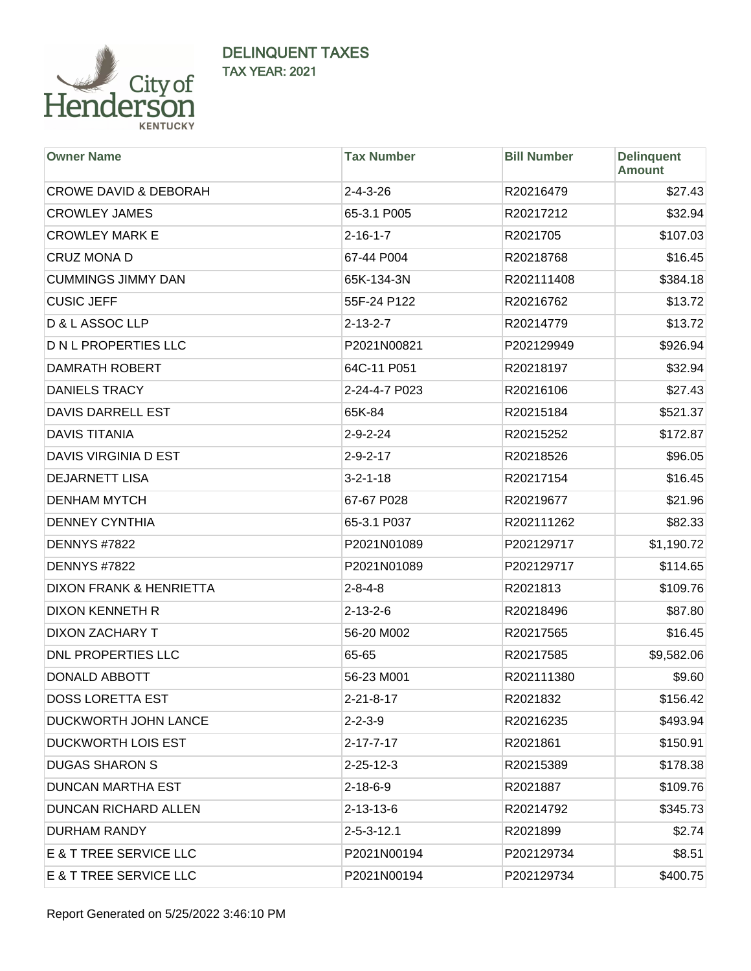

| <b>Owner Name</b>                 | <b>Tax Number</b>  | <b>Bill Number</b> | <b>Delinquent</b><br><b>Amount</b> |
|-----------------------------------|--------------------|--------------------|------------------------------------|
| <b>CROWE DAVID &amp; DEBORAH</b>  | $2 - 4 - 3 - 26$   | R20216479          | \$27.43                            |
| <b>CROWLEY JAMES</b>              | 65-3.1 P005        | R20217212          | \$32.94                            |
| <b>CROWLEY MARK E</b>             | $2 - 16 - 1 - 7$   | R2021705           | \$107.03                           |
| <b>CRUZ MONA D</b>                | 67-44 P004         | R20218768          | \$16.45                            |
| <b>CUMMINGS JIMMY DAN</b>         | 65K-134-3N         | R202111408         | \$384.18                           |
| <b>CUSIC JEFF</b>                 | 55F-24 P122        | R20216762          | \$13.72                            |
| D & L ASSOC LLP                   | $2 - 13 - 2 - 7$   | R20214779          | \$13.72                            |
| <b>D N L PROPERTIES LLC</b>       | P2021N00821        | P202129949         | \$926.94                           |
| <b>DAMRATH ROBERT</b>             | 64C-11 P051        | R20218197          | \$32.94                            |
| <b>DANIELS TRACY</b>              | 2-24-4-7 P023      | R20216106          | \$27.43                            |
| <b>DAVIS DARRELL EST</b>          | 65K-84             | R20215184          | \$521.37                           |
| <b>DAVIS TITANIA</b>              | $2 - 9 - 2 - 24$   | R20215252          | \$172.87                           |
| DAVIS VIRGINIA D EST              | $2 - 9 - 2 - 17$   | R20218526          | \$96.05                            |
| <b>DEJARNETT LISA</b>             | $3 - 2 - 1 - 18$   | R20217154          | \$16.45                            |
| <b>DENHAM MYTCH</b>               | 67-67 P028         | R20219677          | \$21.96                            |
| <b>DENNEY CYNTHIA</b>             | 65-3.1 P037        | R202111262         | \$82.33                            |
| <b>DENNYS #7822</b>               | P2021N01089        | P202129717         | \$1,190.72                         |
| <b>DENNYS #7822</b>               | P2021N01089        | P202129717         | \$114.65                           |
| DIXON FRANK & HENRIETTA           | $2 - 8 - 4 - 8$    | R2021813           | \$109.76                           |
| DIXON KENNETH R                   | $2 - 13 - 2 - 6$   | R20218496          | \$87.80                            |
| DIXON ZACHARY T                   | 56-20 M002         | R20217565          | \$16.45                            |
| DNL PROPERTIES LLC                | 65-65              | R20217585          | \$9,582.06                         |
| <b>DONALD ABBOTT</b>              | 56-23 M001         | R202111380         | \$9.60                             |
| <b>DOSS LORETTA EST</b>           | 2-21-8-17          | R2021832           | \$156.42                           |
| <b>DUCKWORTH JOHN LANCE</b>       | $2 - 2 - 3 - 9$    | R20216235          | \$493.94                           |
| <b>DUCKWORTH LOIS EST</b>         | $2 - 17 - 7 - 17$  | R2021861           | \$150.91                           |
| <b>DUGAS SHARON S</b>             | $2 - 25 - 12 - 3$  | R20215389          | \$178.38                           |
| <b>DUNCAN MARTHA EST</b>          | $2 - 18 - 6 - 9$   | R2021887           | \$109.76                           |
| <b>DUNCAN RICHARD ALLEN</b>       | $2 - 13 - 13 - 6$  | R20214792          | \$345.73                           |
| DURHAM RANDY                      | $2 - 5 - 3 - 12.1$ | R2021899           | \$2.74                             |
| <b>E &amp; T TREE SERVICE LLC</b> | P2021N00194        | P202129734         | \$8.51                             |
| <b>E &amp; T TREE SERVICE LLC</b> | P2021N00194        | P202129734         | \$400.75                           |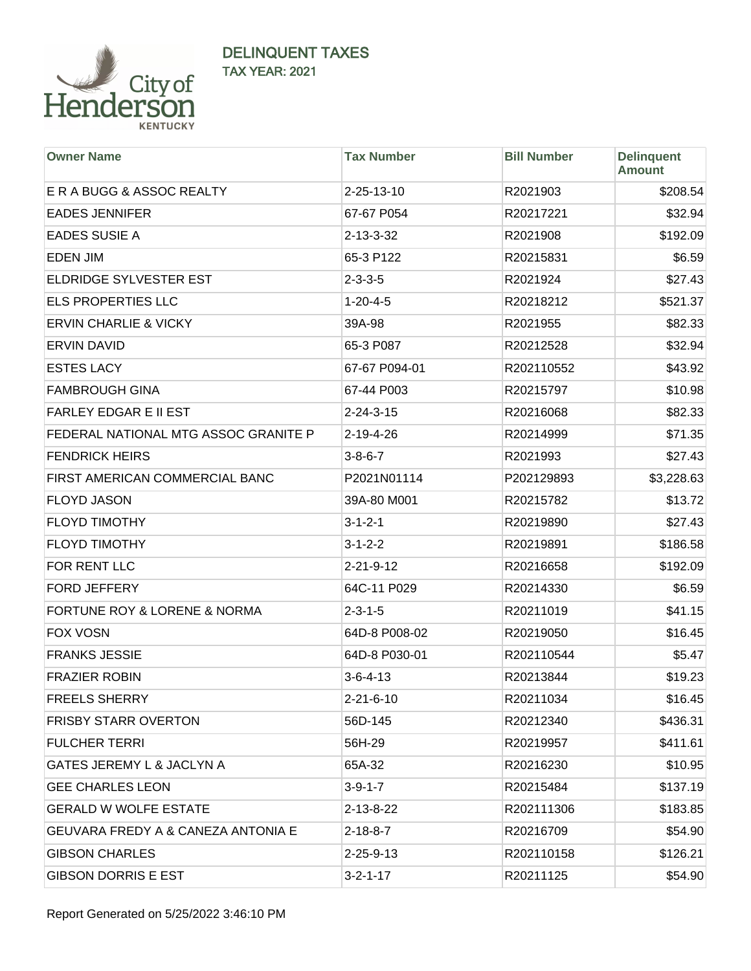

| <b>Owner Name</b>                             | <b>Tax Number</b> | <b>Bill Number</b> | <b>Delinquent</b><br><b>Amount</b> |
|-----------------------------------------------|-------------------|--------------------|------------------------------------|
| E R A BUGG & ASSOC REALTY                     | 2-25-13-10        | R2021903           | \$208.54                           |
| <b>EADES JENNIFER</b>                         | 67-67 P054        | R20217221          | \$32.94                            |
| <b>EADES SUSIE A</b>                          | 2-13-3-32         | R2021908           | \$192.09                           |
| <b>EDEN JIM</b>                               | 65-3 P122         | R20215831          | \$6.59                             |
| <b>ELDRIDGE SYLVESTER EST</b>                 | $2 - 3 - 3 - 5$   | R2021924           | \$27.43                            |
| <b>ELS PROPERTIES LLC</b>                     | $1 - 20 - 4 - 5$  | R20218212          | \$521.37                           |
| <b>ERVIN CHARLIE &amp; VICKY</b>              | 39A-98            | R2021955           | \$82.33                            |
| <b>ERVIN DAVID</b>                            | 65-3 P087         | R20212528          | \$32.94                            |
| <b>ESTES LACY</b>                             | 67-67 P094-01     | R202110552         | \$43.92                            |
| <b>FAMBROUGH GINA</b>                         | 67-44 P003        | R20215797          | \$10.98                            |
| <b>FARLEY EDGAR E II EST</b>                  | $2 - 24 - 3 - 15$ | R20216068          | \$82.33                            |
| FEDERAL NATIONAL MTG ASSOC GRANITE P          | 2-19-4-26         | R20214999          | \$71.35                            |
| <b>FENDRICK HEIRS</b>                         | $3 - 8 - 6 - 7$   | R2021993           | \$27.43                            |
| FIRST AMERICAN COMMERCIAL BANC                | P2021N01114       | P202129893         | \$3,228.63                         |
| <b>FLOYD JASON</b>                            | 39A-80 M001       | R20215782          | \$13.72                            |
| <b>FLOYD TIMOTHY</b>                          | $3 - 1 - 2 - 1$   | R20219890          | \$27.43                            |
| <b>FLOYD TIMOTHY</b>                          | $3 - 1 - 2 - 2$   | R20219891          | \$186.58                           |
| FOR RENT LLC                                  | $2 - 21 - 9 - 12$ | R20216658          | \$192.09                           |
| FORD JEFFERY                                  | 64C-11 P029       | R20214330          | \$6.59                             |
| FORTUNE ROY & LORENE & NORMA                  | $2 - 3 - 1 - 5$   | R20211019          | \$41.15                            |
| <b>FOX VOSN</b>                               | 64D-8 P008-02     | R20219050          | \$16.45                            |
| <b>FRANKS JESSIE</b>                          | 64D-8 P030-01     | R202110544         | \$5.47                             |
| <b>FRAZIER ROBIN</b>                          | $3 - 6 - 4 - 13$  | R20213844          | \$19.23                            |
| <b>FREELS SHERRY</b>                          | $2 - 21 - 6 - 10$ | R20211034          | \$16.45                            |
| <b>FRISBY STARR OVERTON</b>                   | 56D-145           | R20212340          | \$436.31                           |
| <b>FULCHER TERRI</b>                          | 56H-29            | R20219957          | \$411.61                           |
| GATES JEREMY L & JACLYN A                     | 65A-32            | R20216230          | \$10.95                            |
| <b>GEE CHARLES LEON</b>                       | $3 - 9 - 1 - 7$   | R20215484          | \$137.19                           |
| <b>GERALD W WOLFE ESTATE</b>                  | 2-13-8-22         | R202111306         | \$183.85                           |
| <b>GEUVARA FREDY A &amp; CANEZA ANTONIA E</b> | 2-18-8-7          | R20216709          | \$54.90                            |
| <b>GIBSON CHARLES</b>                         | $2 - 25 - 9 - 13$ | R202110158         | \$126.21                           |
| <b>GIBSON DORRIS E EST</b>                    | $3 - 2 - 1 - 17$  | R20211125          | \$54.90                            |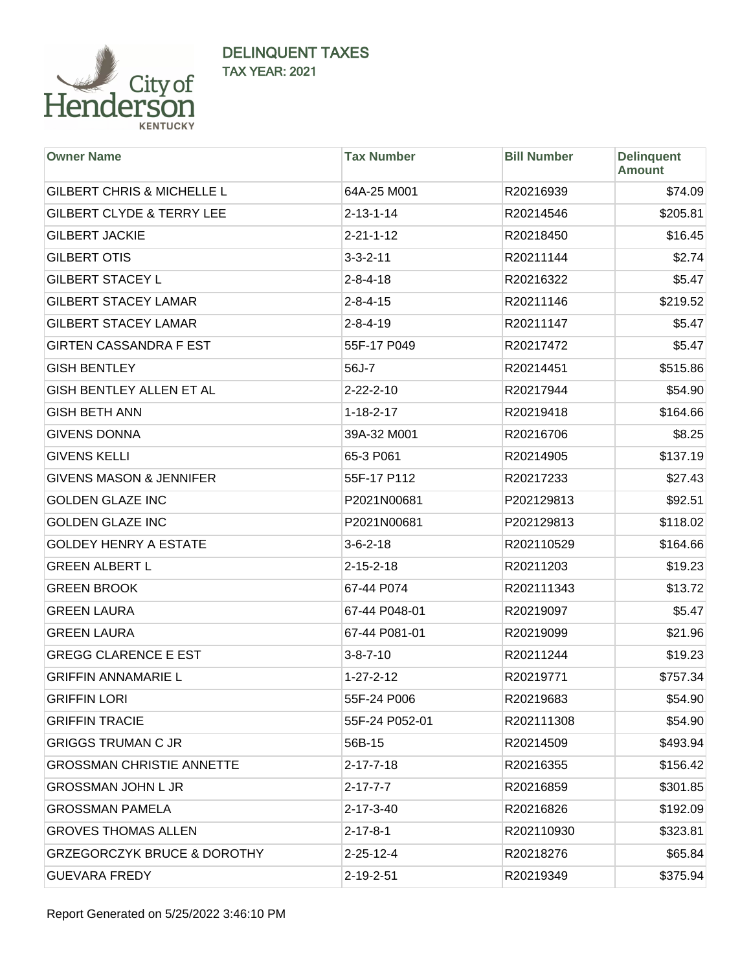

| <b>Owner Name</b>                      | <b>Tax Number</b> | <b>Bill Number</b> | <b>Delinquent</b><br><b>Amount</b> |
|----------------------------------------|-------------------|--------------------|------------------------------------|
| <b>GILBERT CHRIS &amp; MICHELLE L</b>  | 64A-25 M001       | R20216939          | \$74.09                            |
| <b>GILBERT CLYDE &amp; TERRY LEE</b>   | $2 - 13 - 1 - 14$ | R20214546          | \$205.81                           |
| <b>GILBERT JACKIE</b>                  | $2 - 21 - 1 - 12$ | R20218450          | \$16.45                            |
| <b>GILBERT OTIS</b>                    | $3 - 3 - 2 - 11$  | R20211144          | \$2.74                             |
| <b>GILBERT STACEY L</b>                | $2 - 8 - 4 - 18$  | R20216322          | \$5.47                             |
| <b>GILBERT STACEY LAMAR</b>            | $2 - 8 - 4 - 15$  | R20211146          | \$219.52                           |
| <b>GILBERT STACEY LAMAR</b>            | $2 - 8 - 4 - 19$  | R20211147          | \$5.47                             |
| <b>GIRTEN CASSANDRA F EST</b>          | 55F-17 P049       | R20217472          | \$5.47                             |
| <b>GISH BENTLEY</b>                    | 56J-7             | R20214451          | \$515.86                           |
| GISH BENTLEY ALLEN ET AL               | $2 - 22 - 2 - 10$ | R20217944          | \$54.90                            |
| <b>GISH BETH ANN</b>                   | $1 - 18 - 2 - 17$ | R20219418          | \$164.66                           |
| <b>GIVENS DONNA</b>                    | 39A-32 M001       | R20216706          | \$8.25                             |
| <b>GIVENS KELLI</b>                    | 65-3 P061         | R20214905          | \$137.19                           |
| <b>GIVENS MASON &amp; JENNIFER</b>     | 55F-17 P112       | R20217233          | \$27.43                            |
| <b>GOLDEN GLAZE INC</b>                | P2021N00681       | P202129813         | \$92.51                            |
| <b>GOLDEN GLAZE INC</b>                | P2021N00681       | P202129813         | \$118.02                           |
| <b>GOLDEY HENRY A ESTATE</b>           | $3 - 6 - 2 - 18$  | R202110529         | \$164.66                           |
| <b>GREEN ALBERT L</b>                  | $2 - 15 - 2 - 18$ | R20211203          | \$19.23                            |
| <b>GREEN BROOK</b>                     | 67-44 P074        | R202111343         | \$13.72                            |
| <b>GREEN LAURA</b>                     | 67-44 P048-01     | R20219097          | \$5.47                             |
| <b>GREEN LAURA</b>                     | 67-44 P081-01     | R20219099          | \$21.96                            |
| <b>GREGG CLARENCE E EST</b>            | $3 - 8 - 7 - 10$  | R20211244          | \$19.23                            |
| <b>GRIFFIN ANNAMARIE L</b>             | $1 - 27 - 2 - 12$ | R20219771          | \$757.34                           |
| <b>GRIFFIN LORI</b>                    | 55F-24 P006       | R20219683          | \$54.90                            |
| <b>GRIFFIN TRACIE</b>                  | 55F-24 P052-01    | R202111308         | \$54.90                            |
| <b>GRIGGS TRUMAN C JR</b>              | 56B-15            | R20214509          | \$493.94                           |
| <b>GROSSMAN CHRISTIE ANNETTE</b>       | 2-17-7-18         | R20216355          | \$156.42                           |
| <b>GROSSMAN JOHN L JR</b>              | $2 - 17 - 7 - 7$  | R20216859          | \$301.85                           |
| <b>GROSSMAN PAMELA</b>                 | $2 - 17 - 3 - 40$ | R20216826          | \$192.09                           |
| <b>GROVES THOMAS ALLEN</b>             | $2 - 17 - 8 - 1$  | R202110930         | \$323.81                           |
| <b>GRZEGORCZYK BRUCE &amp; DOROTHY</b> | 2-25-12-4         | R20218276          | \$65.84                            |
| <b>GUEVARA FREDY</b>                   | $2 - 19 - 2 - 51$ | R20219349          | \$375.94                           |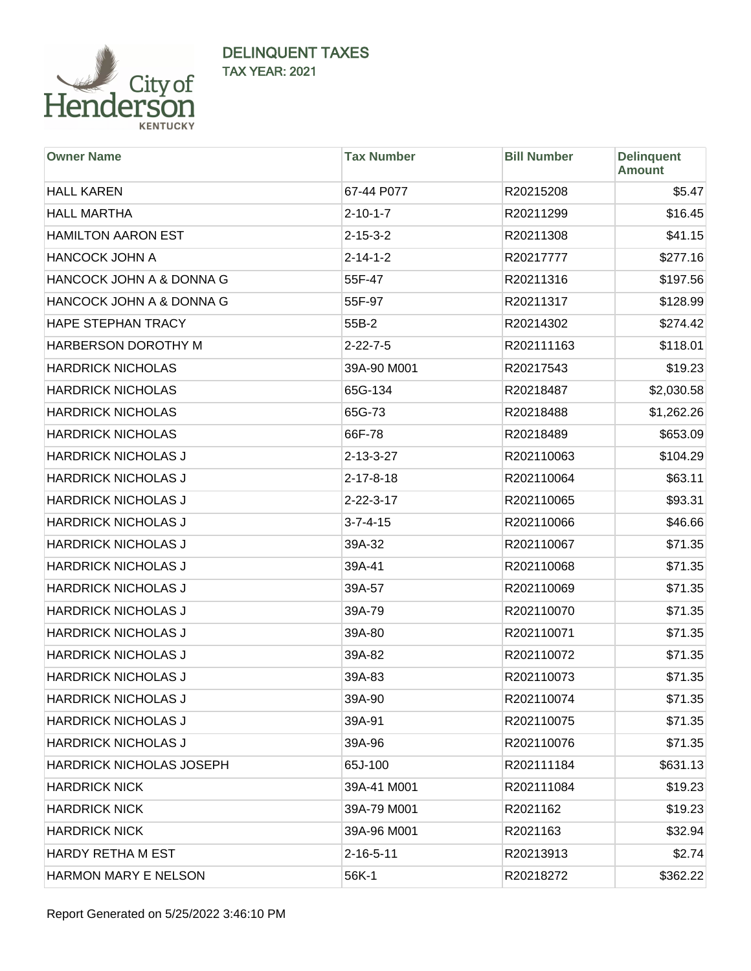

| <b>Owner Name</b>           | <b>Tax Number</b> | <b>Bill Number</b> | <b>Delinquent</b><br><b>Amount</b> |
|-----------------------------|-------------------|--------------------|------------------------------------|
| <b>HALL KAREN</b>           | 67-44 P077        | R20215208          | \$5.47                             |
| <b>HALL MARTHA</b>          | $2 - 10 - 1 - 7$  | R20211299          | \$16.45                            |
| <b>HAMILTON AARON EST</b>   | $2 - 15 - 3 - 2$  | R20211308          | \$41.15                            |
| <b>HANCOCK JOHN A</b>       | $2 - 14 - 1 - 2$  | R20217777          | \$277.16                           |
| HANCOCK JOHN A & DONNA G    | 55F-47            | R20211316          | \$197.56                           |
| HANCOCK JOHN A & DONNA G    | 55F-97            | R20211317          | \$128.99                           |
| HAPE STEPHAN TRACY          | 55B-2             | R20214302          | \$274.42                           |
| HARBERSON DOROTHY M         | $2 - 22 - 7 - 5$  | R202111163         | \$118.01                           |
| <b>HARDRICK NICHOLAS</b>    | 39A-90 M001       | R20217543          | \$19.23                            |
| <b>HARDRICK NICHOLAS</b>    | 65G-134           | R20218487          | \$2,030.58                         |
| <b>HARDRICK NICHOLAS</b>    | 65G-73            | R20218488          | \$1,262.26                         |
| <b>HARDRICK NICHOLAS</b>    | 66F-78            | R20218489          | \$653.09                           |
| <b>HARDRICK NICHOLAS J</b>  | $2 - 13 - 3 - 27$ | R202110063         | \$104.29                           |
| <b>HARDRICK NICHOLAS J</b>  | $2 - 17 - 8 - 18$ | R202110064         | \$63.11                            |
| <b>HARDRICK NICHOLAS J</b>  | $2 - 22 - 3 - 17$ | R202110065         | \$93.31                            |
| <b>HARDRICK NICHOLAS J</b>  | $3 - 7 - 4 - 15$  | R202110066         | \$46.66                            |
| <b>HARDRICK NICHOLAS J</b>  | 39A-32            | R202110067         | \$71.35                            |
| <b>HARDRICK NICHOLAS J</b>  | 39A-41            | R202110068         | \$71.35                            |
| <b>HARDRICK NICHOLAS J</b>  | 39A-57            | R202110069         | \$71.35                            |
| <b>HARDRICK NICHOLAS J</b>  | 39A-79            | R202110070         | \$71.35                            |
| <b>HARDRICK NICHOLAS J</b>  | 39A-80            | R202110071         | \$71.35                            |
| <b>HARDRICK NICHOLAS J</b>  | 39A-82            | R202110072         | \$71.35                            |
| <b>HARDRICK NICHOLAS J</b>  | 39A-83            | R202110073         | \$71.35                            |
| HARDRICK NICHOLAS J         | 39A-90            | R202110074         | \$71.35                            |
| <b>HARDRICK NICHOLAS J</b>  | 39A-91            | R202110075         | \$71.35                            |
| <b>HARDRICK NICHOLAS J</b>  | 39A-96            | R202110076         | \$71.35                            |
| HARDRICK NICHOLAS JOSEPH    | 65J-100           | R202111184         | \$631.13                           |
| <b>HARDRICK NICK</b>        | 39A-41 M001       | R202111084         | \$19.23                            |
| <b>HARDRICK NICK</b>        | 39A-79 M001       | R2021162           | \$19.23                            |
| <b>HARDRICK NICK</b>        | 39A-96 M001       | R2021163           | \$32.94                            |
| HARDY RETHA M EST           | $2 - 16 - 5 - 11$ | R20213913          | \$2.74                             |
| <b>HARMON MARY E NELSON</b> | 56K-1             | R20218272          | \$362.22                           |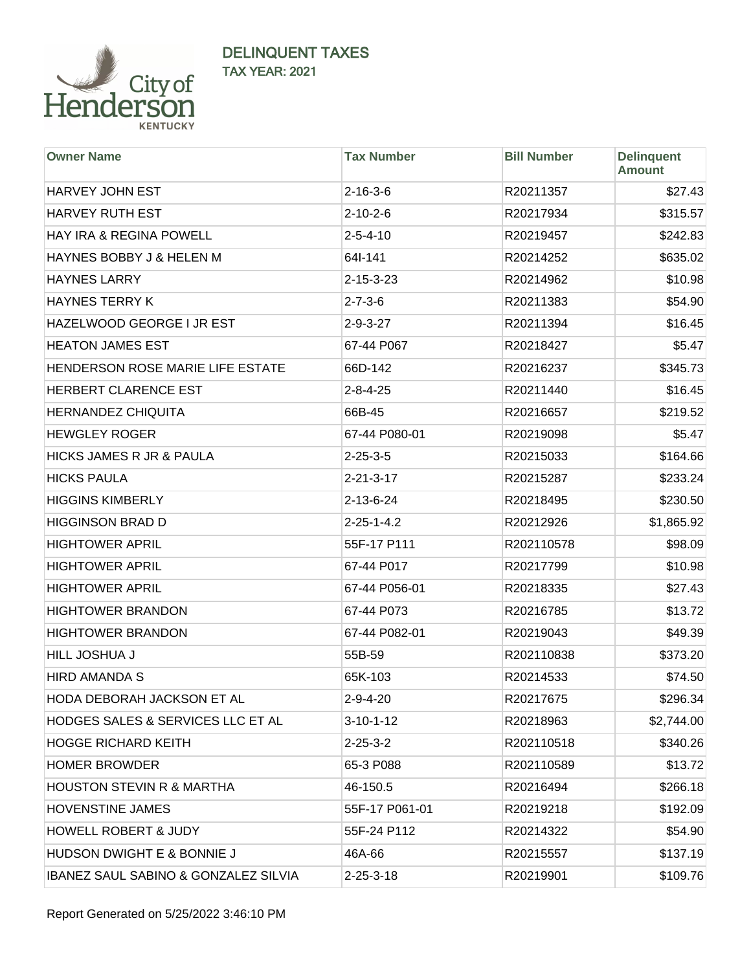

| <b>Owner Name</b>                               | <b>Tax Number</b>  | <b>Bill Number</b> | <b>Delinquent</b><br><b>Amount</b> |
|-------------------------------------------------|--------------------|--------------------|------------------------------------|
| HARVEY JOHN EST                                 | $2 - 16 - 3 - 6$   | R20211357          | \$27.43                            |
| <b>HARVEY RUTH EST</b>                          | $2 - 10 - 2 - 6$   | R20217934          | \$315.57                           |
| HAY IRA & REGINA POWELL                         | $2 - 5 - 4 - 10$   | R20219457          | \$242.83                           |
| HAYNES BOBBY J & HELEN M                        | 64I-141            | R20214252          | \$635.02                           |
| <b>HAYNES LARRY</b>                             | $2 - 15 - 3 - 23$  | R20214962          | \$10.98                            |
| <b>HAYNES TERRY K</b>                           | $2 - 7 - 3 - 6$    | R20211383          | \$54.90                            |
| HAZELWOOD GEORGE I JR EST                       | $2 - 9 - 3 - 27$   | R20211394          | \$16.45                            |
| <b>HEATON JAMES EST</b>                         | 67-44 P067         | R20218427          | \$5.47                             |
| HENDERSON ROSE MARIE LIFE ESTATE                | 66D-142            | R20216237          | \$345.73                           |
| HERBERT CLARENCE EST                            | $2 - 8 - 4 - 25$   | R20211440          | \$16.45                            |
| <b>HERNANDEZ CHIQUITA</b>                       | 66B-45             | R20216657          | \$219.52                           |
| <b>HEWGLEY ROGER</b>                            | 67-44 P080-01      | R20219098          | \$5.47                             |
| <b>HICKS JAMES R JR &amp; PAULA</b>             | $2 - 25 - 3 - 5$   | R20215033          | \$164.66                           |
| <b>HICKS PAULA</b>                              | $2 - 21 - 3 - 17$  | R20215287          | \$233.24                           |
| <b>HIGGINS KIMBERLY</b>                         | $2 - 13 - 6 - 24$  | R20218495          | \$230.50                           |
| <b>HIGGINSON BRAD D</b>                         | $2 - 25 - 1 - 4.2$ | R20212926          | \$1,865.92                         |
| <b>HIGHTOWER APRIL</b>                          | 55F-17 P111        | R202110578         | \$98.09                            |
| <b>HIGHTOWER APRIL</b>                          | 67-44 P017         | R20217799          | \$10.98                            |
| <b>HIGHTOWER APRIL</b>                          | 67-44 P056-01      | R20218335          | \$27.43                            |
| <b>HIGHTOWER BRANDON</b>                        | 67-44 P073         | R20216785          | \$13.72                            |
| <b>HIGHTOWER BRANDON</b>                        | 67-44 P082-01      | R20219043          | \$49.39                            |
| HILL JOSHUA J                                   | 55B-59             | R202110838         | \$373.20                           |
| <b>HIRD AMANDA S</b>                            | 65K-103            | R20214533          | \$74.50                            |
| HODA DEBORAH JACKSON ET AL                      | $2 - 9 - 4 - 20$   | R20217675          | \$296.34                           |
| <b>HODGES SALES &amp; SERVICES LLC ET AL</b>    | $3 - 10 - 1 - 12$  | R20218963          | \$2,744.00                         |
| <b>HOGGE RICHARD KEITH</b>                      | $2 - 25 - 3 - 2$   | R202110518         | \$340.26                           |
| <b>HOMER BROWDER</b>                            | 65-3 P088          | R202110589         | \$13.72                            |
| <b>HOUSTON STEVIN R &amp; MARTHA</b>            | 46-150.5           | R20216494          | \$266.18                           |
| <b>HOVENSTINE JAMES</b>                         | 55F-17 P061-01     | R20219218          | \$192.09                           |
| <b>HOWELL ROBERT &amp; JUDY</b>                 | 55F-24 P112        | R20214322          | \$54.90                            |
| <b>HUDSON DWIGHT E &amp; BONNIE J</b>           | 46A-66             | R20215557          | \$137.19                           |
| <b>IBANEZ SAUL SABINO &amp; GONZALEZ SILVIA</b> | $2 - 25 - 3 - 18$  | R20219901          | \$109.76                           |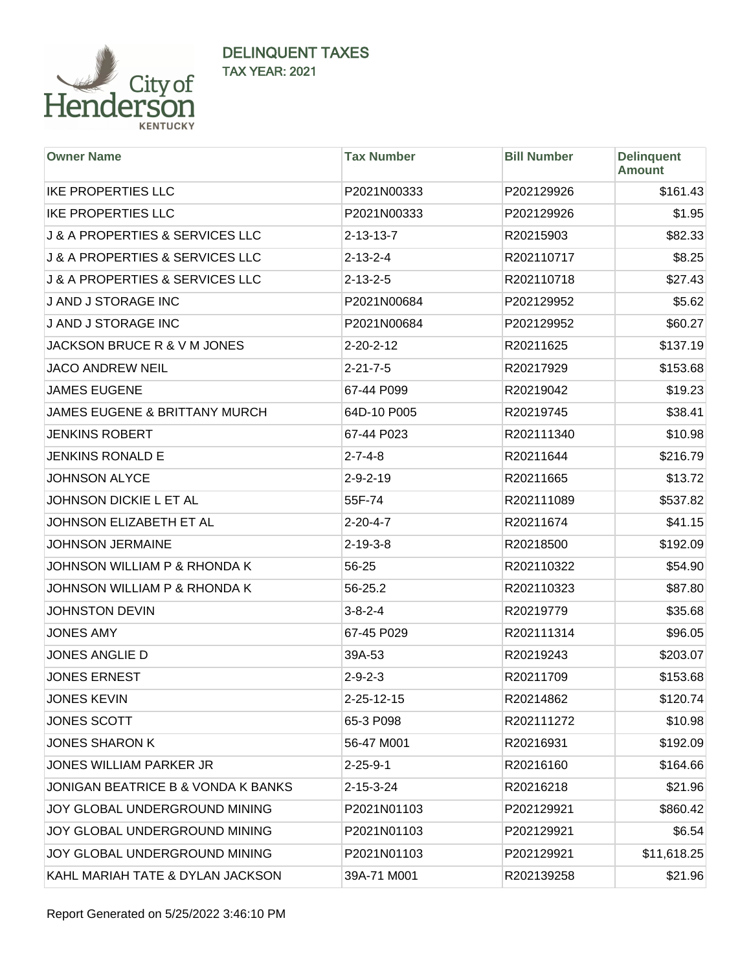

| <b>Owner Name</b>                              | <b>Tax Number</b> | <b>Bill Number</b> | <b>Delinquent</b><br><b>Amount</b> |
|------------------------------------------------|-------------------|--------------------|------------------------------------|
| <b>IKE PROPERTIES LLC</b>                      | P2021N00333       | P202129926         | \$161.43                           |
| <b>IKE PROPERTIES LLC</b>                      | P2021N00333       | P202129926         | \$1.95                             |
| <b>J &amp; A PROPERTIES &amp; SERVICES LLC</b> | $2 - 13 - 13 - 7$ | R20215903          | \$82.33                            |
| <b>J &amp; A PROPERTIES &amp; SERVICES LLC</b> | $2 - 13 - 2 - 4$  | R202110717         | \$8.25                             |
| <b>J &amp; A PROPERTIES &amp; SERVICES LLC</b> | $2 - 13 - 2 - 5$  | R202110718         | \$27.43                            |
| J AND J STORAGE INC                            | P2021N00684       | P202129952         | \$5.62                             |
| J AND J STORAGE INC                            | P2021N00684       | P202129952         | \$60.27                            |
| JACKSON BRUCE R & V M JONES                    | $2 - 20 - 2 - 12$ | R20211625          | \$137.19                           |
| <b>JACO ANDREW NEIL</b>                        | $2 - 21 - 7 - 5$  | R20217929          | \$153.68                           |
| <b>JAMES EUGENE</b>                            | 67-44 P099        | R20219042          | \$19.23                            |
| <b>JAMES EUGENE &amp; BRITTANY MURCH</b>       | 64D-10 P005       | R20219745          | \$38.41                            |
| <b>JENKINS ROBERT</b>                          | 67-44 P023        | R202111340         | \$10.98                            |
| <b>JENKINS RONALD E</b>                        | $2 - 7 - 4 - 8$   | R20211644          | \$216.79                           |
| <b>JOHNSON ALYCE</b>                           | $2 - 9 - 2 - 19$  | R20211665          | \$13.72                            |
| JOHNSON DICKIE L ET AL                         | 55F-74            | R202111089         | \$537.82                           |
| JOHNSON ELIZABETH ET AL                        | $2 - 20 - 4 - 7$  | R20211674          | \$41.15                            |
| <b>JOHNSON JERMAINE</b>                        | $2 - 19 - 3 - 8$  | R20218500          | \$192.09                           |
| JOHNSON WILLIAM P & RHONDA K                   | 56-25             | R202110322         | \$54.90                            |
| JOHNSON WILLIAM P & RHONDA K                   | 56-25.2           | R202110323         | \$87.80                            |
| <b>JOHNSTON DEVIN</b>                          | $3 - 8 - 2 - 4$   | R20219779          | \$35.68                            |
| <b>JONES AMY</b>                               | 67-45 P029        | R202111314         | \$96.05                            |
| JONES ANGLIE D                                 | 39A-53            | R20219243          | \$203.07                           |
| <b>JONES ERNEST</b>                            | $2 - 9 - 2 - 3$   | R20211709          | \$153.68                           |
| <b>JONES KEVIN</b>                             | 2-25-12-15        | R20214862          | \$120.74                           |
| <b>JONES SCOTT</b>                             | 65-3 P098         | R202111272         | \$10.98                            |
| <b>JONES SHARON K</b>                          | 56-47 M001        | R20216931          | \$192.09                           |
| <b>JONES WILLIAM PARKER JR</b>                 | $2 - 25 - 9 - 1$  | R20216160          | \$164.66                           |
| JONIGAN BEATRICE B & VONDA K BANKS             | $2 - 15 - 3 - 24$ | R20216218          | \$21.96                            |
| JOY GLOBAL UNDERGROUND MINING                  | P2021N01103       | P202129921         | \$860.42                           |
| JOY GLOBAL UNDERGROUND MINING                  | P2021N01103       | P202129921         | \$6.54                             |
| JOY GLOBAL UNDERGROUND MINING                  | P2021N01103       | P202129921         | \$11,618.25                        |
| KAHL MARIAH TATE & DYLAN JACKSON               | 39A-71 M001       | R202139258         | \$21.96                            |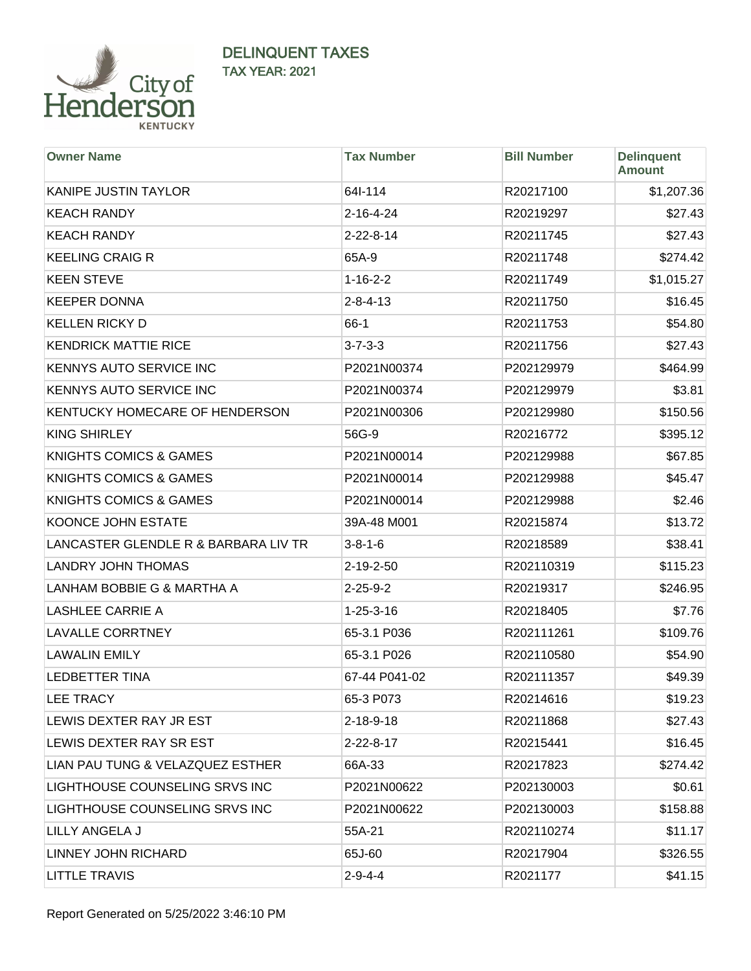

| <b>Owner Name</b>                    | <b>Tax Number</b> | <b>Bill Number</b> | <b>Delinquent</b><br><b>Amount</b> |
|--------------------------------------|-------------------|--------------------|------------------------------------|
| KANIPE JUSTIN TAYLOR                 | 64I-114           | R20217100          | \$1,207.36                         |
| <b>KEACH RANDY</b>                   | $2 - 16 - 4 - 24$ | R20219297          | \$27.43                            |
| <b>KEACH RANDY</b>                   | $2 - 22 - 8 - 14$ | R20211745          | \$27.43                            |
| <b>KEELING CRAIG R</b>               | 65A-9             | R20211748          | \$274.42                           |
| <b>KEEN STEVE</b>                    | $1 - 16 - 2 - 2$  | R20211749          | \$1,015.27                         |
| <b>KEEPER DONNA</b>                  | $2 - 8 - 4 - 13$  | R20211750          | \$16.45                            |
| <b>KELLEN RICKY D</b>                | $66-1$            | R20211753          | \$54.80                            |
| <b>KENDRICK MATTIE RICE</b>          | $3 - 7 - 3 - 3$   | R20211756          | \$27.43                            |
| KENNYS AUTO SERVICE INC              | P2021N00374       | P202129979         | \$464.99                           |
| KENNYS AUTO SERVICE INC              | P2021N00374       | P202129979         | \$3.81                             |
| KENTUCKY HOMECARE OF HENDERSON       | P2021N00306       | P202129980         | \$150.56                           |
| <b>KING SHIRLEY</b>                  | 56G-9             | R20216772          | \$395.12                           |
| <b>KNIGHTS COMICS &amp; GAMES</b>    | P2021N00014       | P202129988         | \$67.85                            |
| <b>KNIGHTS COMICS &amp; GAMES</b>    | P2021N00014       | P202129988         | \$45.47                            |
| <b>KNIGHTS COMICS &amp; GAMES</b>    | P2021N00014       | P202129988         | \$2.46                             |
| KOONCE JOHN ESTATE                   | 39A-48 M001       | R20215874          | \$13.72                            |
| LANCASTER GLENDLE R & BARBARA LIV TR | $3 - 8 - 1 - 6$   | R20218589          | \$38.41                            |
| <b>LANDRY JOHN THOMAS</b>            | 2-19-2-50         | R202110319         | \$115.23                           |
| LANHAM BOBBIE G & MARTHA A           | $2 - 25 - 9 - 2$  | R20219317          | \$246.95                           |
| <b>LASHLEE CARRIE A</b>              | $1 - 25 - 3 - 16$ | R20218405          | \$7.76                             |
| <b>LAVALLE CORRTNEY</b>              | 65-3.1 P036       | R202111261         | \$109.76                           |
| <b>LAWALIN EMILY</b>                 | 65-3.1 P026       | R202110580         | \$54.90                            |
| <b>LEDBETTER TINA</b>                | 67-44 P041-02     | R202111357         | \$49.39                            |
| <b>LEE TRACY</b>                     | 65-3 P073         | R20214616          | \$19.23                            |
| LEWIS DEXTER RAY JR EST              | $2 - 18 - 9 - 18$ | R20211868          | \$27.43                            |
| LEWIS DEXTER RAY SR EST              | $2 - 22 - 8 - 17$ | R20215441          | \$16.45                            |
| LIAN PAU TUNG & VELAZQUEZ ESTHER     | 66A-33            | R20217823          | \$274.42                           |
| LIGHTHOUSE COUNSELING SRVS INC       | P2021N00622       | P202130003         | \$0.61                             |
| LIGHTHOUSE COUNSELING SRVS INC       | P2021N00622       | P202130003         | \$158.88                           |
| LILLY ANGELA J                       | 55A-21            | R202110274         | \$11.17                            |
| LINNEY JOHN RICHARD                  | 65J-60            | R20217904          | \$326.55                           |
| <b>LITTLE TRAVIS</b>                 | $2 - 9 - 4 - 4$   | R2021177           | \$41.15                            |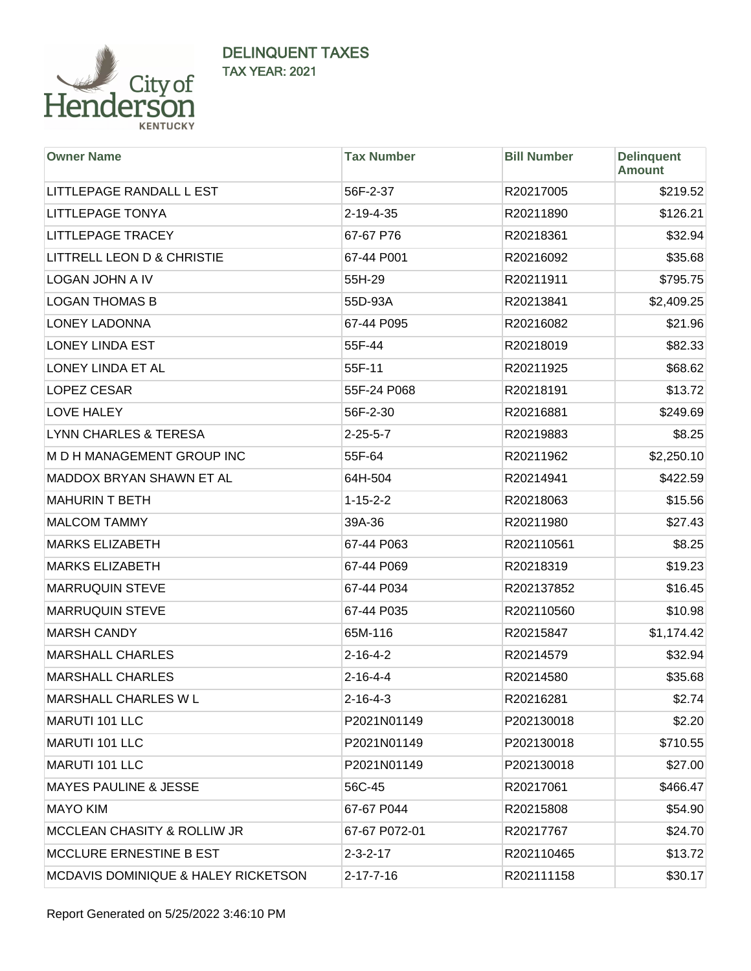

| <b>Owner Name</b>                              | <b>Tax Number</b> | <b>Bill Number</b> | <b>Delinquent</b><br><b>Amount</b> |
|------------------------------------------------|-------------------|--------------------|------------------------------------|
| LITTLEPAGE RANDALL L EST                       | 56F-2-37          | R20217005          | \$219.52                           |
| <b>LITTLEPAGE TONYA</b>                        | 2-19-4-35         | R20211890          | \$126.21                           |
| <b>LITTLEPAGE TRACEY</b>                       | 67-67 P76         | R20218361          | \$32.94                            |
| LITTRELL LEON D & CHRISTIE                     | 67-44 P001        | R20216092          | \$35.68                            |
| <b>LOGAN JOHN A IV</b>                         | 55H-29            | R20211911          | \$795.75                           |
| <b>LOGAN THOMAS B</b>                          | 55D-93A           | R20213841          | \$2,409.25                         |
| <b>LONEY LADONNA</b>                           | 67-44 P095        | R20216082          | \$21.96                            |
| <b>LONEY LINDA EST</b>                         | 55F-44            | R20218019          | \$82.33                            |
| LONEY LINDA ET AL                              | 55F-11            | R20211925          | \$68.62                            |
| LOPEZ CESAR                                    | 55F-24 P068       | R20218191          | \$13.72                            |
| <b>LOVE HALEY</b>                              | 56F-2-30          | R20216881          | \$249.69                           |
| <b>LYNN CHARLES &amp; TERESA</b>               | $2 - 25 - 5 - 7$  | R20219883          | \$8.25                             |
| M D H MANAGEMENT GROUP INC                     | 55F-64            | R20211962          | \$2,250.10                         |
| MADDOX BRYAN SHAWN ET AL                       | 64H-504           | R20214941          | \$422.59                           |
| <b>MAHURIN T BETH</b>                          | $1 - 15 - 2 - 2$  | R20218063          | \$15.56                            |
| <b>MALCOM TAMMY</b>                            | 39A-36            | R20211980          | \$27.43                            |
| <b>MARKS ELIZABETH</b>                         | 67-44 P063        | R202110561         | \$8.25                             |
| <b>MARKS ELIZABETH</b>                         | 67-44 P069        | R20218319          | \$19.23                            |
| <b>MARRUQUIN STEVE</b>                         | 67-44 P034        | R202137852         | \$16.45                            |
| <b>MARRUQUIN STEVE</b>                         | 67-44 P035        | R202110560         | \$10.98                            |
| <b>MARSH CANDY</b>                             | 65M-116           | R20215847          | \$1,174.42                         |
| <b>MARSHALL CHARLES</b>                        | $2 - 16 - 4 - 2$  | R20214579          | \$32.94                            |
| <b>MARSHALL CHARLES</b>                        | $2 - 16 - 4 - 4$  | R20214580          | \$35.68                            |
| MARSHALL CHARLES W L                           | $2 - 16 - 4 - 3$  | R20216281          | \$2.74                             |
| <b>MARUTI 101 LLC</b>                          | P2021N01149       | P202130018         | \$2.20                             |
| MARUTI 101 LLC                                 | P2021N01149       | P202130018         | \$710.55                           |
| MARUTI 101 LLC                                 | P2021N01149       | P202130018         | \$27.00                            |
| <b>MAYES PAULINE &amp; JESSE</b>               | 56C-45            | R20217061          | \$466.47                           |
| <b>MAYO KIM</b>                                | 67-67 P044        | R20215808          | \$54.90                            |
| <b>MCCLEAN CHASITY &amp; ROLLIW JR</b>         | 67-67 P072-01     | R20217767          | \$24.70                            |
| MCCLURE ERNESTINE B EST                        | $2 - 3 - 2 - 17$  | R202110465         | \$13.72                            |
| <b>MCDAVIS DOMINIQUE &amp; HALEY RICKETSON</b> | $2 - 17 - 7 - 16$ | R202111158         | \$30.17                            |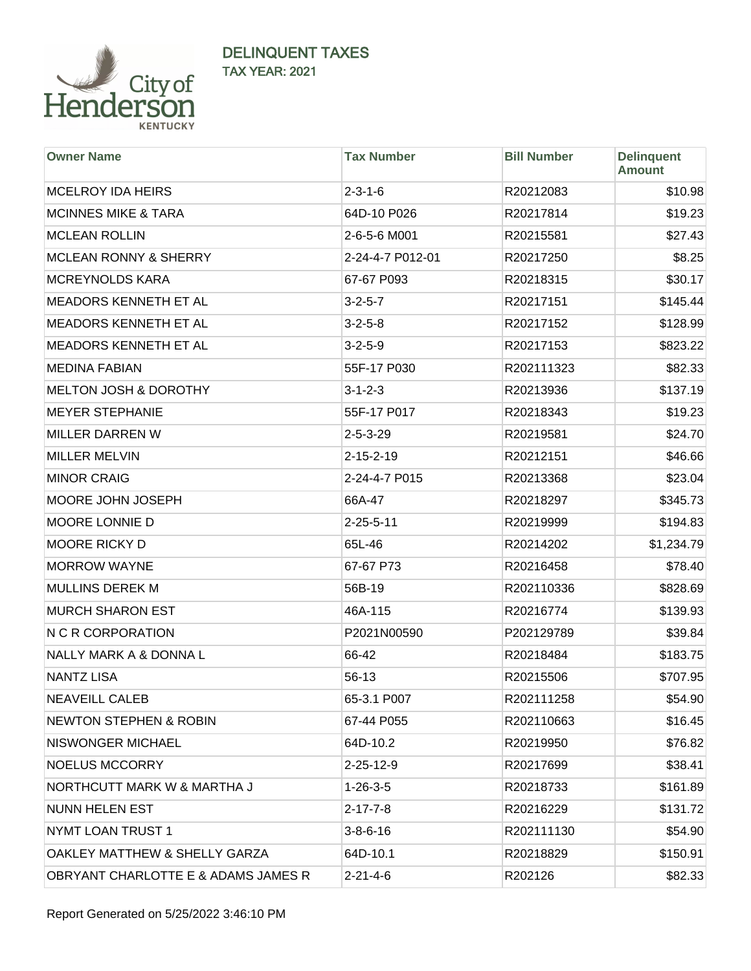

| <b>Owner Name</b>                   | <b>Tax Number</b> | <b>Bill Number</b> | <b>Delinquent</b><br><b>Amount</b> |
|-------------------------------------|-------------------|--------------------|------------------------------------|
| <b>MCELROY IDA HEIRS</b>            | $2 - 3 - 1 - 6$   | R20212083          | \$10.98                            |
| <b>MCINNES MIKE &amp; TARA</b>      | 64D-10 P026       | R20217814          | \$19.23                            |
| <b>MCLEAN ROLLIN</b>                | 2-6-5-6 M001      | R20215581          | \$27.43                            |
| <b>MCLEAN RONNY &amp; SHERRY</b>    | 2-24-4-7 P012-01  | R20217250          | \$8.25                             |
| <b>MCREYNOLDS KARA</b>              | 67-67 P093        | R20218315          | \$30.17                            |
| MEADORS KENNETH ET AL               | $3 - 2 - 5 - 7$   | R20217151          | \$145.44                           |
| MEADORS KENNETH ET AL               | $3 - 2 - 5 - 8$   | R20217152          | \$128.99                           |
| MEADORS KENNETH ET AL               | $3 - 2 - 5 - 9$   | R20217153          | \$823.22                           |
| <b>MEDINA FABIAN</b>                | 55F-17 P030       | R202111323         | \$82.33                            |
| <b>MELTON JOSH &amp; DOROTHY</b>    | $3 - 1 - 2 - 3$   | R20213936          | \$137.19                           |
| <b>MEYER STEPHANIE</b>              | 55F-17 P017       | R20218343          | \$19.23                            |
| MILLER DARREN W                     | $2 - 5 - 3 - 29$  | R20219581          | \$24.70                            |
| <b>MILLER MELVIN</b>                | $2 - 15 - 2 - 19$ | R20212151          | \$46.66                            |
| <b>MINOR CRAIG</b>                  | 2-24-4-7 P015     | R20213368          | \$23.04                            |
| MOORE JOHN JOSEPH                   | 66A-47            | R20218297          | \$345.73                           |
| MOORE LONNIE D                      | $2 - 25 - 5 - 11$ | R20219999          | \$194.83                           |
| MOORE RICKY D                       | 65L-46            | R20214202          | \$1,234.79                         |
| <b>MORROW WAYNE</b>                 | 67-67 P73         | R20216458          | \$78.40                            |
| <b>MULLINS DEREK M</b>              | 56B-19            | R202110336         | \$828.69                           |
| <b>MURCH SHARON EST</b>             | 46A-115           | R20216774          | \$139.93                           |
| N C R CORPORATION                   | P2021N00590       | P202129789         | \$39.84                            |
| NALLY MARK A & DONNA L              | 66-42             | R20218484          | \$183.75                           |
| <b>NANTZ LISA</b>                   | 56-13             | R20215506          | \$707.95                           |
| <b>NEAVEILL CALEB</b>               | 65-3.1 P007       | R202111258         | \$54.90                            |
| <b>NEWTON STEPHEN &amp; ROBIN</b>   | 67-44 P055        | R202110663         | \$16.45                            |
| NISWONGER MICHAEL                   | 64D-10.2          | R20219950          | \$76.82                            |
| <b>NOELUS MCCORRY</b>               | 2-25-12-9         | R20217699          | \$38.41                            |
| NORTHCUTT MARK W & MARTHA J         | $1 - 26 - 3 - 5$  | R20218733          | \$161.89                           |
| <b>NUNN HELEN EST</b>               | $2 - 17 - 7 - 8$  | R20216229          | \$131.72                           |
| NYMT LOAN TRUST 1                   | $3 - 8 - 6 - 16$  | R202111130         | \$54.90                            |
| OAKLEY MATTHEW & SHELLY GARZA       | 64D-10.1          | R20218829          | \$150.91                           |
| OBRYANT CHARLOTTE E & ADAMS JAMES R | $2 - 21 - 4 - 6$  | R202126            | \$82.33                            |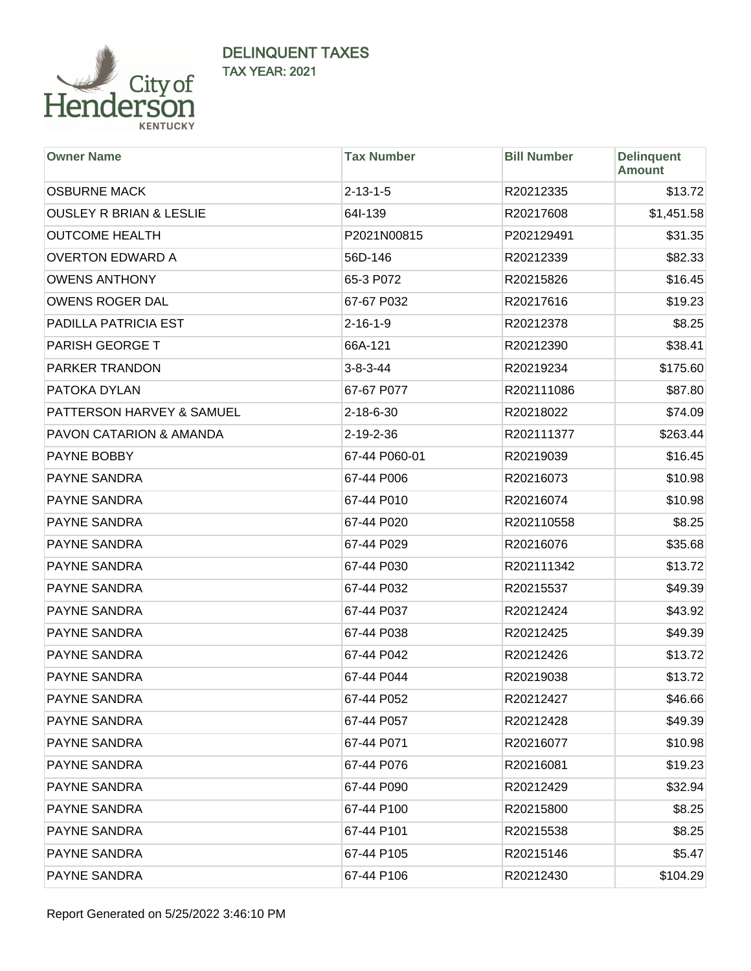

| <b>Owner Name</b>                  | <b>Tax Number</b> | <b>Bill Number</b> | <b>Delinquent</b><br><b>Amount</b> |
|------------------------------------|-------------------|--------------------|------------------------------------|
| <b>OSBURNE MACK</b>                | $2 - 13 - 1 - 5$  | R20212335          | \$13.72                            |
| <b>OUSLEY R BRIAN &amp; LESLIE</b> | 64I-139           | R20217608          | \$1,451.58                         |
| <b>OUTCOME HEALTH</b>              | P2021N00815       | P202129491         | \$31.35                            |
| <b>OVERTON EDWARD A</b>            | 56D-146           | R20212339          | \$82.33                            |
| <b>OWENS ANTHONY</b>               | 65-3 P072         | R20215826          | \$16.45                            |
| <b>OWENS ROGER DAL</b>             | 67-67 P032        | R20217616          | \$19.23                            |
| PADILLA PATRICIA EST               | $2 - 16 - 1 - 9$  | R20212378          | \$8.25                             |
| <b>PARISH GEORGE T</b>             | 66A-121           | R20212390          | \$38.41                            |
| <b>PARKER TRANDON</b>              | $3 - 8 - 3 - 44$  | R20219234          | \$175.60                           |
| PATOKA DYLAN                       | 67-67 P077        | R202111086         | \$87.80                            |
| PATTERSON HARVEY & SAMUEL          | 2-18-6-30         | R20218022          | \$74.09                            |
| <b>PAVON CATARION &amp; AMANDA</b> | 2-19-2-36         | R202111377         | \$263.44                           |
| PAYNE BOBBY                        | 67-44 P060-01     | R20219039          | \$16.45                            |
| PAYNE SANDRA                       | 67-44 P006        | R20216073          | \$10.98                            |
| PAYNE SANDRA                       | 67-44 P010        | R20216074          | \$10.98                            |
| PAYNE SANDRA                       | 67-44 P020        | R202110558         | \$8.25                             |
| PAYNE SANDRA                       | 67-44 P029        | R20216076          | \$35.68                            |
| PAYNE SANDRA                       | 67-44 P030        | R202111342         | \$13.72                            |
| PAYNE SANDRA                       | 67-44 P032        | R20215537          | \$49.39                            |
| PAYNE SANDRA                       | 67-44 P037        | R20212424          | \$43.92                            |
| PAYNE SANDRA                       | 67-44 P038        | R20212425          | \$49.39                            |
| PAYNE SANDRA                       | 67-44 P042        | R20212426          | \$13.72                            |
| PAYNE SANDRA                       | 67-44 P044        | R20219038          | \$13.72                            |
| PAYNE SANDRA                       | 67-44 P052        | R20212427          | \$46.66                            |
| PAYNE SANDRA                       | 67-44 P057        | R20212428          | \$49.39                            |
| PAYNE SANDRA                       | 67-44 P071        | R20216077          | \$10.98                            |
| PAYNE SANDRA                       | 67-44 P076        | R20216081          | \$19.23                            |
| PAYNE SANDRA                       | 67-44 P090        | R20212429          | \$32.94                            |
| PAYNE SANDRA                       | 67-44 P100        | R20215800          | \$8.25                             |
| PAYNE SANDRA                       | 67-44 P101        | R20215538          | \$8.25                             |
| PAYNE SANDRA                       | 67-44 P105        | R20215146          | \$5.47                             |
| PAYNE SANDRA                       | 67-44 P106        | R20212430          | \$104.29                           |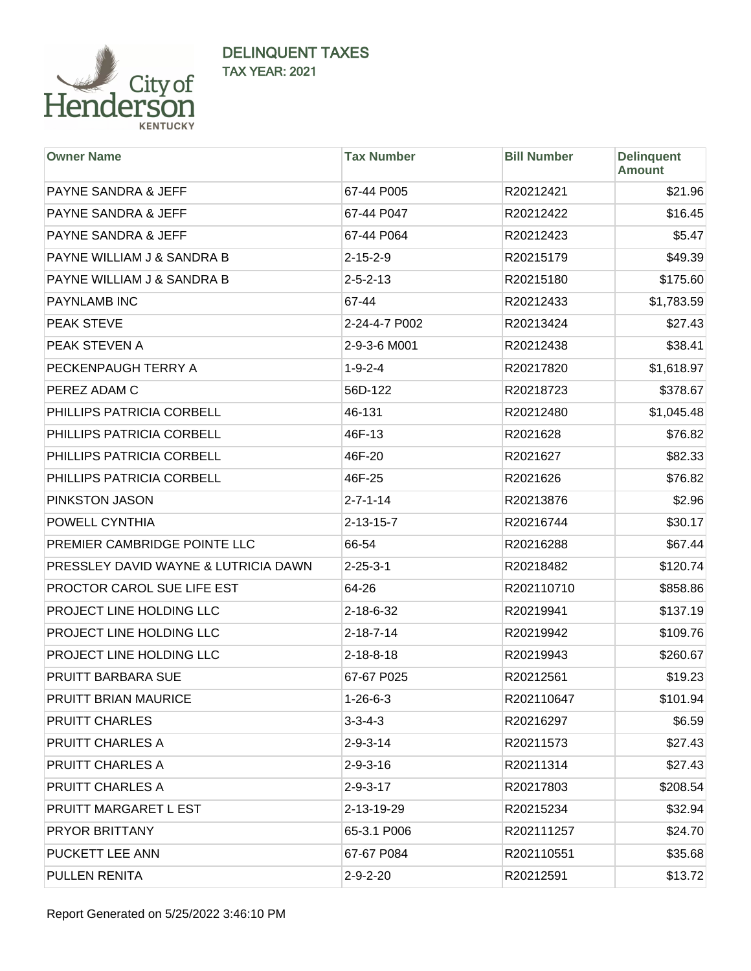

| <b>Owner Name</b>                    | <b>Tax Number</b> | <b>Bill Number</b> | <b>Delinquent</b><br><b>Amount</b> |
|--------------------------------------|-------------------|--------------------|------------------------------------|
| <b>PAYNE SANDRA &amp; JEFF</b>       | 67-44 P005        | R20212421          | \$21.96                            |
| <b>PAYNE SANDRA &amp; JEFF</b>       | 67-44 P047        | R20212422          | \$16.45                            |
| <b>PAYNE SANDRA &amp; JEFF</b>       | 67-44 P064        | R20212423          | \$5.47                             |
| PAYNE WILLIAM J & SANDRA B           | $2 - 15 - 2 - 9$  | R20215179          | \$49.39                            |
| PAYNE WILLIAM J & SANDRA B           | $2 - 5 - 2 - 13$  | R20215180          | \$175.60                           |
| <b>PAYNLAMB INC</b>                  | 67-44             | R20212433          | \$1,783.59                         |
| <b>PEAK STEVE</b>                    | 2-24-4-7 P002     | R20213424          | \$27.43                            |
| PEAK STEVEN A                        | 2-9-3-6 M001      | R20212438          | \$38.41                            |
| PECKENPAUGH TERRY A                  | $1 - 9 - 2 - 4$   | R20217820          | \$1,618.97                         |
| PEREZ ADAM C                         | 56D-122           | R20218723          | \$378.67                           |
| PHILLIPS PATRICIA CORBELL            | 46-131            | R20212480          | \$1,045.48                         |
| PHILLIPS PATRICIA CORBELL            | 46F-13            | R2021628           | \$76.82                            |
| PHILLIPS PATRICIA CORBELL            | 46F-20            | R2021627           | \$82.33                            |
| PHILLIPS PATRICIA CORBELL            | 46F-25            | R2021626           | \$76.82                            |
| PINKSTON JASON                       | $2 - 7 - 1 - 14$  | R20213876          | \$2.96                             |
| POWELL CYNTHIA                       | $2 - 13 - 15 - 7$ | R20216744          | \$30.17                            |
| PREMIER CAMBRIDGE POINTE LLC         | 66-54             | R20216288          | \$67.44                            |
| PRESSLEY DAVID WAYNE & LUTRICIA DAWN | $2 - 25 - 3 - 1$  | R20218482          | \$120.74                           |
| PROCTOR CAROL SUE LIFE EST           | 64-26             | R202110710         | \$858.86                           |
| PROJECT LINE HOLDING LLC             | 2-18-6-32         | R20219941          | \$137.19                           |
| PROJECT LINE HOLDING LLC             | $2 - 18 - 7 - 14$ | R20219942          | \$109.76                           |
| PROJECT LINE HOLDING LLC             | $2 - 18 - 8 - 18$ | R20219943          | \$260.67                           |
| <b>PRUITT BARBARA SUE</b>            | 67-67 P025        | R20212561          | \$19.23                            |
| PRUITT BRIAN MAURICE                 | $1 - 26 - 6 - 3$  | R202110647         | \$101.94                           |
| <b>PRUITT CHARLES</b>                | $3 - 3 - 4 - 3$   | R20216297          | \$6.59                             |
| <b>PRUITT CHARLES A</b>              | $2 - 9 - 3 - 14$  | R20211573          | \$27.43                            |
| PRUITT CHARLES A                     | $2 - 9 - 3 - 16$  | R20211314          | \$27.43                            |
| <b>PRUITT CHARLES A</b>              | $2 - 9 - 3 - 17$  | R20217803          | \$208.54                           |
| PRUITT MARGARET LEST                 | 2-13-19-29        | R20215234          | \$32.94                            |
| <b>PRYOR BRITTANY</b>                | 65-3.1 P006       | R202111257         | \$24.70                            |
| PUCKETT LEE ANN                      | 67-67 P084        | R202110551         | \$35.68                            |
| PULLEN RENITA                        | $2 - 9 - 2 - 20$  | R20212591          | \$13.72                            |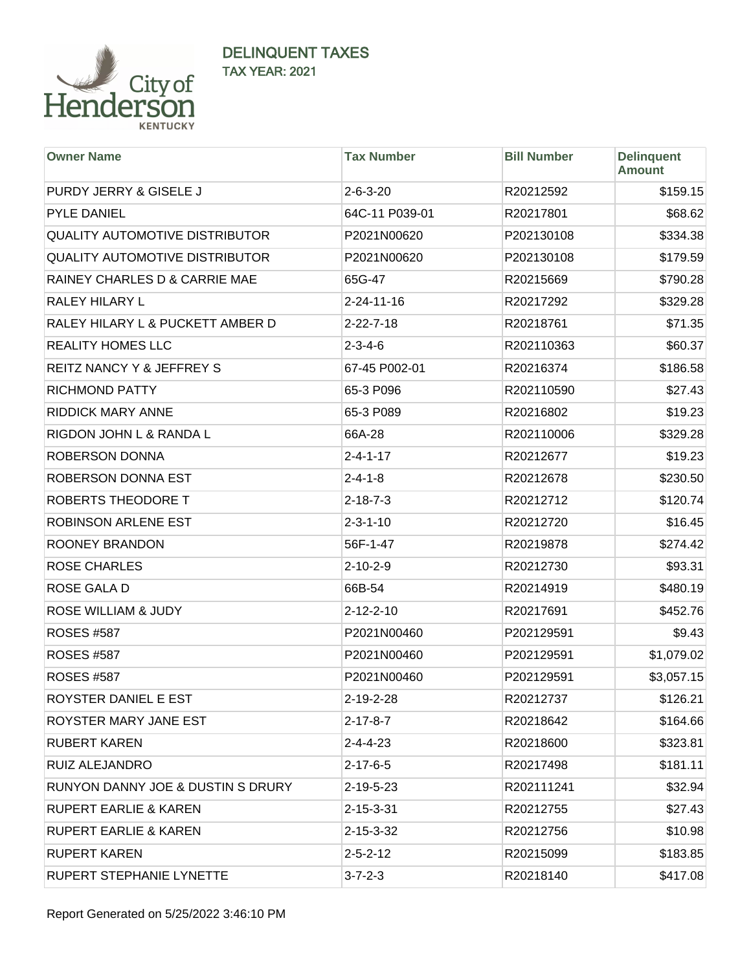

| <b>Owner Name</b>                            | <b>Tax Number</b>  | <b>Bill Number</b> | <b>Delinquent</b><br><b>Amount</b> |
|----------------------------------------------|--------------------|--------------------|------------------------------------|
| PURDY JERRY & GISELE J                       | $2 - 6 - 3 - 20$   | R20212592          | \$159.15                           |
| <b>PYLE DANIEL</b>                           | 64C-11 P039-01     | R20217801          | \$68.62                            |
| <b>QUALITY AUTOMOTIVE DISTRIBUTOR</b>        | P2021N00620        | P202130108         | \$334.38                           |
| <b>QUALITY AUTOMOTIVE DISTRIBUTOR</b>        | P2021N00620        | P202130108         | \$179.59                           |
| RAINEY CHARLES D & CARRIE MAE                | 65G-47             | R20215669          | \$790.28                           |
| RALEY HILARY L                               | $2 - 24 - 11 - 16$ | R20217292          | \$329.28                           |
| RALEY HILARY L & PUCKETT AMBER D             | $2 - 22 - 7 - 18$  | R20218761          | \$71.35                            |
| <b>REALITY HOMES LLC</b>                     | $2 - 3 - 4 - 6$    | R202110363         | \$60.37                            |
| REITZ NANCY Y & JEFFREY S                    | 67-45 P002-01      | R20216374          | \$186.58                           |
| <b>RICHMOND PATTY</b>                        | 65-3 P096          | R202110590         | \$27.43                            |
| <b>RIDDICK MARY ANNE</b>                     | 65-3 P089          | R20216802          | \$19.23                            |
| RIGDON JOHN L & RANDA L                      | 66A-28             | R202110006         | \$329.28                           |
| ROBERSON DONNA                               | $2 - 4 - 1 - 17$   | R20212677          | \$19.23                            |
| ROBERSON DONNA EST                           | $2 - 4 - 1 - 8$    | R20212678          | \$230.50                           |
| ROBERTS THEODORE T                           | $2 - 18 - 7 - 3$   | R20212712          | \$120.74                           |
| ROBINSON ARLENE EST                          | $2 - 3 - 1 - 10$   | R20212720          | \$16.45                            |
| ROONEY BRANDON                               | 56F-1-47           | R20219878          | \$274.42                           |
| <b>ROSE CHARLES</b>                          | $2 - 10 - 2 - 9$   | R20212730          | \$93.31                            |
| ROSE GALA D                                  | 66B-54             | R20214919          | \$480.19                           |
| ROSE WILLIAM & JUDY                          | $2 - 12 - 2 - 10$  | R20217691          | \$452.76                           |
| <b>ROSES #587</b>                            | P2021N00460        | P202129591         | \$9.43                             |
| <b>ROSES #587</b>                            | P2021N00460        | P202129591         | \$1,079.02                         |
| <b>ROSES #587</b>                            | P2021N00460        | P202129591         | \$3,057.15                         |
| ROYSTER DANIEL E EST                         | 2-19-2-28          | R20212737          | \$126.21                           |
| ROYSTER MARY JANE EST                        | $2 - 17 - 8 - 7$   | R20218642          | \$164.66                           |
| <b>RUBERT KAREN</b>                          | $2 - 4 - 4 - 23$   | R20218600          | \$323.81                           |
| RUIZ ALEJANDRO                               | $2 - 17 - 6 - 5$   | R20217498          | \$181.11                           |
| <b>RUNYON DANNY JOE &amp; DUSTIN S DRURY</b> | $2 - 19 - 5 - 23$  | R202111241         | \$32.94                            |
| <b>RUPERT EARLIE &amp; KAREN</b>             | $2 - 15 - 3 - 31$  | R20212755          | \$27.43                            |
| <b>RUPERT EARLIE &amp; KAREN</b>             | 2-15-3-32          | R20212756          | \$10.98                            |
| <b>RUPERT KAREN</b>                          | $2 - 5 - 2 - 12$   | R20215099          | \$183.85                           |
| RUPERT STEPHANIE LYNETTE                     | $3 - 7 - 2 - 3$    | R20218140          | \$417.08                           |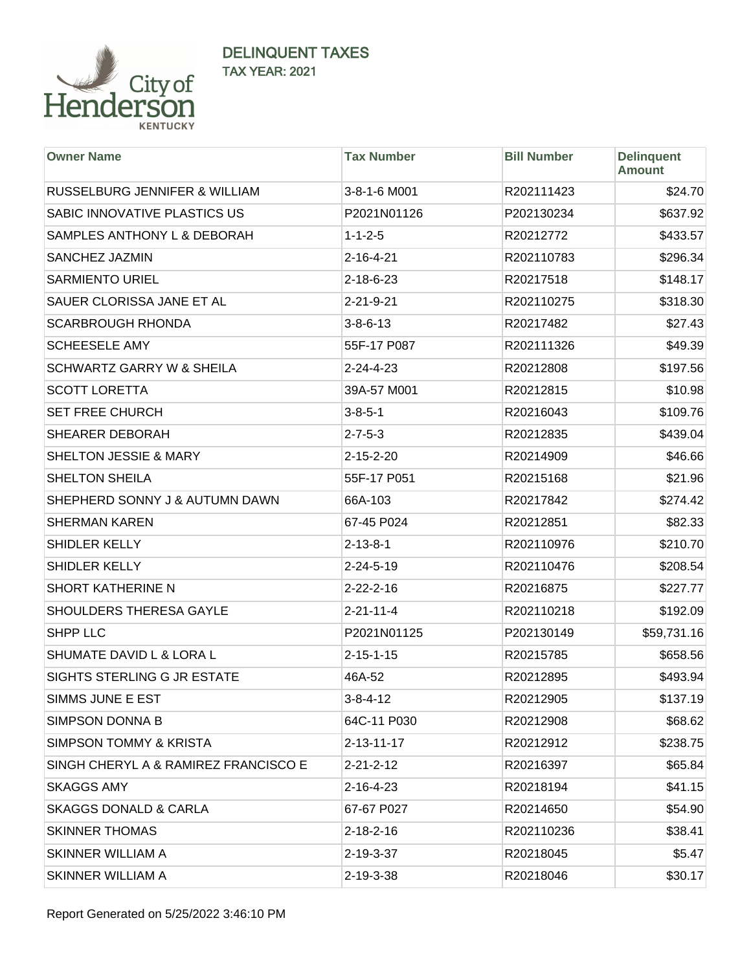

| <b>Owner Name</b>                        | <b>Tax Number</b>  | <b>Bill Number</b> | <b>Delinquent</b><br><b>Amount</b> |
|------------------------------------------|--------------------|--------------------|------------------------------------|
| <b>RUSSELBURG JENNIFER &amp; WILLIAM</b> | 3-8-1-6 M001       | R202111423         | \$24.70                            |
| SABIC INNOVATIVE PLASTICS US             | P2021N01126        | P202130234         | \$637.92                           |
| SAMPLES ANTHONY L & DEBORAH              | $1 - 1 - 2 - 5$    | R20212772          | \$433.57                           |
| SANCHEZ JAZMIN                           | $2 - 16 - 4 - 21$  | R202110783         | \$296.34                           |
| <b>SARMIENTO URIEL</b>                   | 2-18-6-23          | R20217518          | \$148.17                           |
| SAUER CLORISSA JANE ET AL                | 2-21-9-21          | R202110275         | \$318.30                           |
| <b>SCARBROUGH RHONDA</b>                 | $3 - 8 - 6 - 13$   | R20217482          | \$27.43                            |
| <b>SCHEESELE AMY</b>                     | 55F-17 P087        | R202111326         | \$49.39                            |
| <b>SCHWARTZ GARRY W &amp; SHEILA</b>     | $2 - 24 - 4 - 23$  | R20212808          | \$197.56                           |
| <b>SCOTT LORETTA</b>                     | 39A-57 M001        | R20212815          | \$10.98                            |
| <b>SET FREE CHURCH</b>                   | $3 - 8 - 5 - 1$    | R20216043          | \$109.76                           |
| SHEARER DEBORAH                          | $2 - 7 - 5 - 3$    | R20212835          | \$439.04                           |
| <b>SHELTON JESSIE &amp; MARY</b>         | 2-15-2-20          | R20214909          | \$46.66                            |
| <b>SHELTON SHEILA</b>                    | 55F-17 P051        | R20215168          | \$21.96                            |
| SHEPHERD SONNY J & AUTUMN DAWN           | 66A-103            | R20217842          | \$274.42                           |
| <b>SHERMAN KAREN</b>                     | 67-45 P024         | R20212851          | \$82.33                            |
| SHIDLER KELLY                            | $2 - 13 - 8 - 1$   | R202110976         | \$210.70                           |
| SHIDLER KELLY                            | 2-24-5-19          | R202110476         | \$208.54                           |
| SHORT KATHERINE N                        | $2 - 22 - 2 - 16$  | R20216875          | \$227.77                           |
| SHOULDERS THERESA GAYLE                  | $2 - 21 - 11 - 4$  | R202110218         | \$192.09                           |
| <b>SHPP LLC</b>                          | P2021N01125        | P202130149         | \$59,731.16                        |
| SHUMATE DAVID L & LORA L                 | $2 - 15 - 1 - 15$  | R20215785          | \$658.56                           |
| SIGHTS STERLING G JR ESTATE              | 46A-52             | R20212895          | \$493.94                           |
| SIMMS JUNE E EST                         | $3 - 8 - 4 - 12$   | R20212905          | \$137.19                           |
| <b>SIMPSON DONNA B</b>                   | 64C-11 P030        | R20212908          | \$68.62                            |
| <b>SIMPSON TOMMY &amp; KRISTA</b>        | $2 - 13 - 11 - 17$ | R20212912          | \$238.75                           |
| SINGH CHERYL A & RAMIREZ FRANCISCO E     | $2 - 21 - 2 - 12$  | R20216397          | \$65.84                            |
| <b>SKAGGS AMY</b>                        | $2 - 16 - 4 - 23$  | R20218194          | \$41.15                            |
| <b>SKAGGS DONALD &amp; CARLA</b>         | 67-67 P027         | R20214650          | \$54.90                            |
| <b>SKINNER THOMAS</b>                    | $2 - 18 - 2 - 16$  | R202110236         | \$38.41                            |
| SKINNER WILLIAM A                        | 2-19-3-37          | R20218045          | \$5.47                             |
| SKINNER WILLIAM A                        | 2-19-3-38          | R20218046          | \$30.17                            |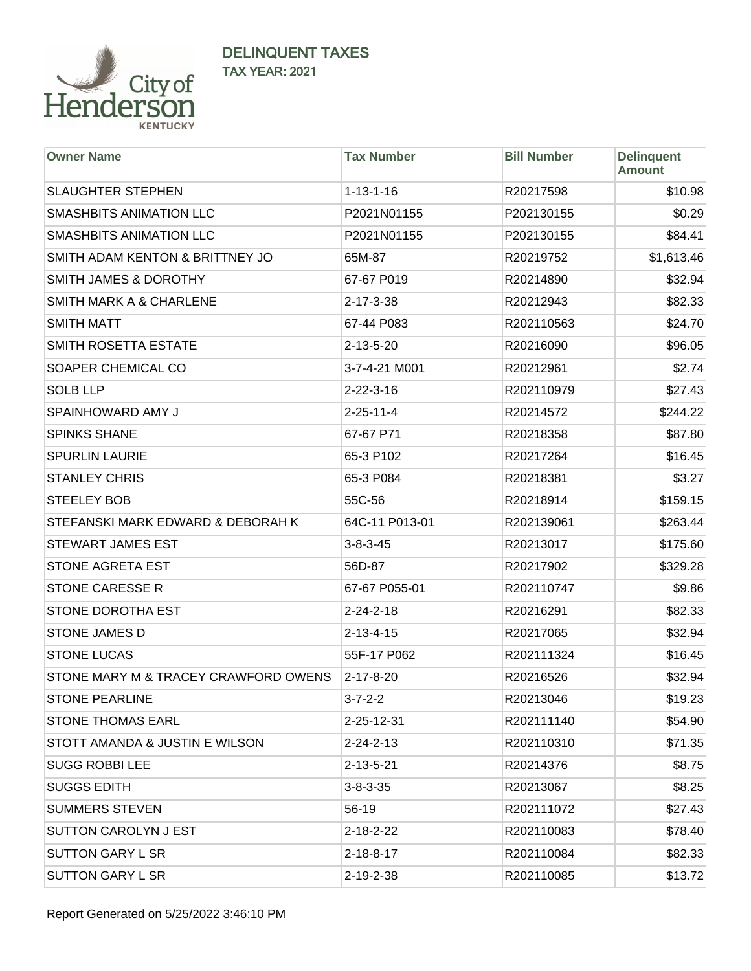

| <b>Owner Name</b>                    | <b>Tax Number</b> | <b>Bill Number</b> | <b>Delinquent</b><br><b>Amount</b> |
|--------------------------------------|-------------------|--------------------|------------------------------------|
| <b>SLAUGHTER STEPHEN</b>             | $1 - 13 - 1 - 16$ | R20217598          | \$10.98                            |
| SMASHBITS ANIMATION LLC              | P2021N01155       | P202130155         | \$0.29                             |
| <b>SMASHBITS ANIMATION LLC</b>       | P2021N01155       | P202130155         | \$84.41                            |
| SMITH ADAM KENTON & BRITTNEY JO      | 65M-87            | R20219752          | \$1,613.46                         |
| SMITH JAMES & DOROTHY                | 67-67 P019        | R20214890          | \$32.94                            |
| <b>SMITH MARK A &amp; CHARLENE</b>   | $2 - 17 - 3 - 38$ | R20212943          | \$82.33                            |
| <b>SMITH MATT</b>                    | 67-44 P083        | R202110563         | \$24.70                            |
| SMITH ROSETTA ESTATE                 | 2-13-5-20         | R20216090          | \$96.05                            |
| SOAPER CHEMICAL CO                   | 3-7-4-21 M001     | R20212961          | \$2.74                             |
| <b>SOLB LLP</b>                      | $2 - 22 - 3 - 16$ | R202110979         | \$27.43                            |
| SPAINHOWARD AMY J                    | $2 - 25 - 11 - 4$ | R20214572          | \$244.22                           |
| <b>SPINKS SHANE</b>                  | 67-67 P71         | R20218358          | \$87.80                            |
| <b>SPURLIN LAURIE</b>                | 65-3 P102         | R20217264          | \$16.45                            |
| <b>STANLEY CHRIS</b>                 | 65-3 P084         | R20218381          | \$3.27                             |
| <b>STEELEY BOB</b>                   | 55C-56            | R20218914          | \$159.15                           |
| STEFANSKI MARK EDWARD & DEBORAH K    | 64C-11 P013-01    | R202139061         | \$263.44                           |
| <b>STEWART JAMES EST</b>             | $3 - 8 - 3 - 45$  | R20213017          | \$175.60                           |
| STONE AGRETA EST                     | 56D-87            | R20217902          | \$329.28                           |
| <b>STONE CARESSE R</b>               | 67-67 P055-01     | R202110747         | \$9.86                             |
| STONE DOROTHA EST                    | $2 - 24 - 2 - 18$ | R20216291          | \$82.33                            |
| <b>STONE JAMES D</b>                 | $2 - 13 - 4 - 15$ | R20217065          | \$32.94                            |
| <b>STONE LUCAS</b>                   | 55F-17 P062       | R202111324         | \$16.45                            |
| STONE MARY M & TRACEY CRAWFORD OWENS | $2 - 17 - 8 - 20$ | R20216526          | \$32.94                            |
| <b>STONE PEARLINE</b>                | $3 - 7 - 2 - 2$   | R20213046          | \$19.23                            |
| <b>STONE THOMAS EARL</b>             | 2-25-12-31        | R202111140         | \$54.90                            |
| STOTT AMANDA & JUSTIN E WILSON       | $2 - 24 - 2 - 13$ | R202110310         | \$71.35                            |
| <b>SUGG ROBBI LEE</b>                | $2 - 13 - 5 - 21$ | R20214376          | \$8.75                             |
| <b>SUGGS EDITH</b>                   | $3 - 8 - 3 - 35$  | R20213067          | \$8.25                             |
| <b>SUMMERS STEVEN</b>                | 56-19             | R202111072         | \$27.43                            |
| SUTTON CAROLYN J EST                 | $2 - 18 - 2 - 22$ | R202110083         | \$78.40                            |
| <b>SUTTON GARY L SR</b>              | $2 - 18 - 8 - 17$ | R202110084         | \$82.33                            |
| <b>SUTTON GARY L SR</b>              | 2-19-2-38         | R202110085         | \$13.72                            |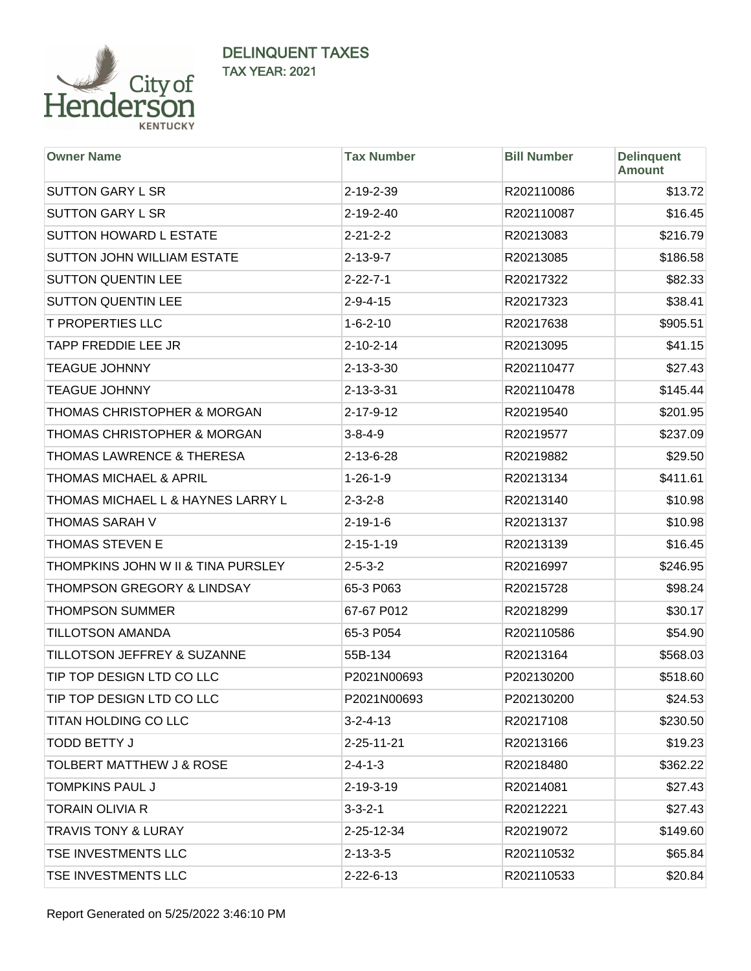

| <b>Owner Name</b>                    | <b>Tax Number</b> | <b>Bill Number</b> | <b>Delinquent</b><br><b>Amount</b> |
|--------------------------------------|-------------------|--------------------|------------------------------------|
| <b>SUTTON GARY L SR</b>              | $2 - 19 - 2 - 39$ | R202110086         | \$13.72                            |
| <b>SUTTON GARY L SR</b>              | 2-19-2-40         | R202110087         | \$16.45                            |
| <b>SUTTON HOWARD L ESTATE</b>        | $2 - 21 - 2 - 2$  | R20213083          | \$216.79                           |
| SUTTON JOHN WILLIAM ESTATE           | $2 - 13 - 9 - 7$  | R20213085          | \$186.58                           |
| <b>SUTTON QUENTIN LEE</b>            | $2 - 22 - 7 - 1$  | R20217322          | \$82.33                            |
| <b>SUTTON QUENTIN LEE</b>            | $2 - 9 - 4 - 15$  | R20217323          | \$38.41                            |
| <b>T PROPERTIES LLC</b>              | $1 - 6 - 2 - 10$  | R20217638          | \$905.51                           |
| <b>TAPP FREDDIE LEE JR</b>           | $2 - 10 - 2 - 14$ | R20213095          | \$41.15                            |
| <b>TEAGUE JOHNNY</b>                 | 2-13-3-30         | R202110477         | \$27.43                            |
| <b>TEAGUE JOHNNY</b>                 | $2 - 13 - 3 - 31$ | R202110478         | \$145.44                           |
| THOMAS CHRISTOPHER & MORGAN          | $2 - 17 - 9 - 12$ | R20219540          | \$201.95                           |
| THOMAS CHRISTOPHER & MORGAN          | $3 - 8 - 4 - 9$   | R20219577          | \$237.09                           |
| <b>THOMAS LAWRENCE &amp; THERESA</b> | $2 - 13 - 6 - 28$ | R20219882          | \$29.50                            |
| <b>THOMAS MICHAEL &amp; APRIL</b>    | $1 - 26 - 1 - 9$  | R20213134          | \$411.61                           |
| THOMAS MICHAEL L & HAYNES LARRY L    | $2 - 3 - 2 - 8$   | R20213140          | \$10.98                            |
| THOMAS SARAH V                       | $2 - 19 - 1 - 6$  | R20213137          | \$10.98                            |
| <b>THOMAS STEVEN E</b>               | $2 - 15 - 1 - 19$ | R20213139          | \$16.45                            |
| THOMPKINS JOHN W II & TINA PURSLEY   | $2 - 5 - 3 - 2$   | R20216997          | \$246.95                           |
| THOMPSON GREGORY & LINDSAY           | 65-3 P063         | R20215728          | \$98.24                            |
| <b>THOMPSON SUMMER</b>               | 67-67 P012        | R20218299          | \$30.17                            |
| <b>TILLOTSON AMANDA</b>              | 65-3 P054         | R202110586         | \$54.90                            |
| TILLOTSON JEFFREY & SUZANNE          | 55B-134           | R20213164          | \$568.03                           |
| TIP TOP DESIGN LTD CO LLC            | P2021N00693       | P202130200         | \$518.60                           |
| TIP TOP DESIGN LTD CO LLC            | P2021N00693       | P202130200         | \$24.53                            |
| <b>TITAN HOLDING CO LLC</b>          | $3 - 2 - 4 - 13$  | R20217108          | \$230.50                           |
| <b>TODD BETTY J</b>                  | 2-25-11-21        | R20213166          | \$19.23                            |
| <b>TOLBERT MATTHEW J &amp; ROSE</b>  | $2 - 4 - 1 - 3$   | R20218480          | \$362.22                           |
| <b>TOMPKINS PAUL J</b>               | $2 - 19 - 3 - 19$ | R20214081          | \$27.43                            |
| <b>TORAIN OLIVIA R</b>               | $3 - 3 - 2 - 1$   | R20212221          | \$27.43                            |
| <b>TRAVIS TONY &amp; LURAY</b>       | 2-25-12-34        | R20219072          | \$149.60                           |
| TSE INVESTMENTS LLC                  | $2 - 13 - 3 - 5$  | R202110532         | \$65.84                            |
| TSE INVESTMENTS LLC                  | $2 - 22 - 6 - 13$ | R202110533         | \$20.84                            |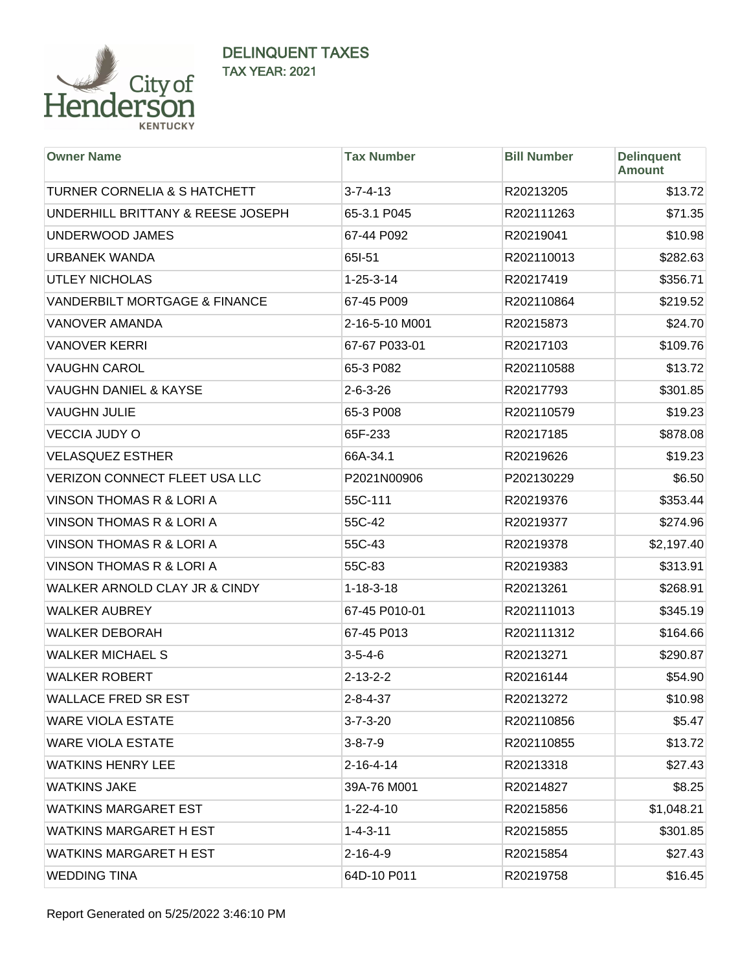

| <b>Owner Name</b>                        | <b>Tax Number</b> | <b>Bill Number</b> | <b>Delinquent</b><br><b>Amount</b> |
|------------------------------------------|-------------------|--------------------|------------------------------------|
| <b>TURNER CORNELIA &amp; S HATCHETT</b>  | $3 - 7 - 4 - 13$  | R20213205          | \$13.72                            |
| UNDERHILL BRITTANY & REESE JOSEPH        | 65-3.1 P045       | R202111263         | \$71.35                            |
| UNDERWOOD JAMES                          | 67-44 P092        | R20219041          | \$10.98                            |
| <b>URBANEK WANDA</b>                     | 65I-51            | R202110013         | \$282.63                           |
| <b>UTLEY NICHOLAS</b>                    | $1 - 25 - 3 - 14$ | R20217419          | \$356.71                           |
| <b>VANDERBILT MORTGAGE &amp; FINANCE</b> | 67-45 P009        | R202110864         | \$219.52                           |
| <b>VANOVER AMANDA</b>                    | 2-16-5-10 M001    | R20215873          | \$24.70                            |
| <b>VANOVER KERRI</b>                     | 67-67 P033-01     | R20217103          | \$109.76                           |
| <b>VAUGHN CAROL</b>                      | 65-3 P082         | R202110588         | \$13.72                            |
| <b>VAUGHN DANIEL &amp; KAYSE</b>         | $2 - 6 - 3 - 26$  | R20217793          | \$301.85                           |
| <b>VAUGHN JULIE</b>                      | 65-3 P008         | R202110579         | \$19.23                            |
| <b>VECCIA JUDY O</b>                     | 65F-233           | R20217185          | \$878.08                           |
| <b>VELASQUEZ ESTHER</b>                  | 66A-34.1          | R20219626          | \$19.23                            |
| VERIZON CONNECT FLEET USA LLC            | P2021N00906       | P202130229         | \$6.50                             |
| <b>VINSON THOMAS R &amp; LORI A</b>      | 55C-111           | R20219376          | \$353.44                           |
| <b>VINSON THOMAS R &amp; LORI A</b>      | 55C-42            | R20219377          | \$274.96                           |
| <b>VINSON THOMAS R &amp; LORI A</b>      | 55C-43            | R20219378          | \$2,197.40                         |
| <b>VINSON THOMAS R &amp; LORI A</b>      | 55C-83            | R20219383          | \$313.91                           |
| WALKER ARNOLD CLAY JR & CINDY            | $1 - 18 - 3 - 18$ | R20213261          | \$268.91                           |
| <b>WALKER AUBREY</b>                     | 67-45 P010-01     | R202111013         | \$345.19                           |
| <b>WALKER DEBORAH</b>                    | 67-45 P013        | R202111312         | \$164.66                           |
| <b>WALKER MICHAEL S</b>                  | $3 - 5 - 4 - 6$   | R20213271          | \$290.87                           |
| <b>WALKER ROBERT</b>                     | $2 - 13 - 2 - 2$  | R20216144          | \$54.90                            |
| <b>WALLACE FRED SR EST</b>               | $2 - 8 - 4 - 37$  | R20213272          | \$10.98                            |
| <b>WARE VIOLA ESTATE</b>                 | $3 - 7 - 3 - 20$  | R202110856         | \$5.47                             |
| <b>WARE VIOLA ESTATE</b>                 | $3 - 8 - 7 - 9$   | R202110855         | \$13.72                            |
| <b>WATKINS HENRY LEE</b>                 | $2 - 16 - 4 - 14$ | R20213318          | \$27.43                            |
| <b>WATKINS JAKE</b>                      | 39A-76 M001       | R20214827          | \$8.25                             |
| <b>WATKINS MARGARET EST</b>              | $1 - 22 - 4 - 10$ | R20215856          | \$1,048.21                         |
| <b>WATKINS MARGARET H EST</b>            | $1 - 4 - 3 - 11$  | R20215855          | \$301.85                           |
| <b>WATKINS MARGARET H EST</b>            | 2-16-4-9          | R20215854          | \$27.43                            |
| <b>WEDDING TINA</b>                      | 64D-10 P011       | R20219758          | \$16.45                            |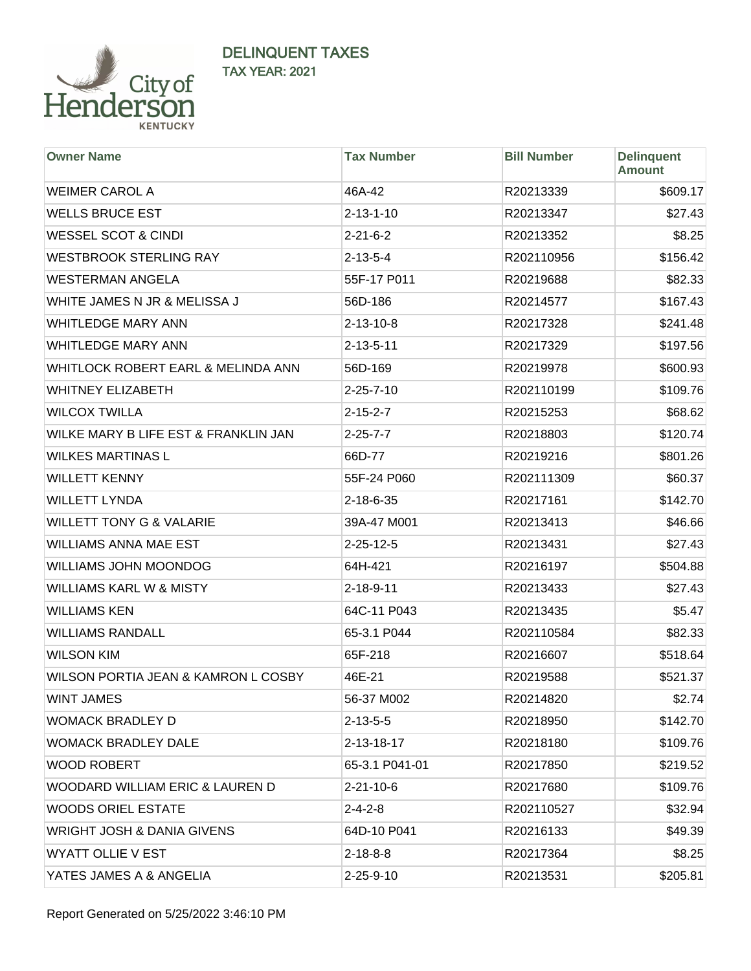

| <b>Owner Name</b>                     | <b>Tax Number</b> | <b>Bill Number</b> | <b>Delinquent</b><br><b>Amount</b> |
|---------------------------------------|-------------------|--------------------|------------------------------------|
| <b>WEIMER CAROL A</b>                 | 46A-42            | R20213339          | \$609.17                           |
| <b>WELLS BRUCE EST</b>                | $2 - 13 - 1 - 10$ | R20213347          | \$27.43                            |
| <b>WESSEL SCOT &amp; CINDI</b>        | $2 - 21 - 6 - 2$  | R20213352          | \$8.25                             |
| <b>WESTBROOK STERLING RAY</b>         | $2 - 13 - 5 - 4$  | R202110956         | \$156.42                           |
| <b>WESTERMAN ANGELA</b>               | 55F-17 P011       | R20219688          | \$82.33                            |
| WHITE JAMES N JR & MELISSA J          | 56D-186           | R20214577          | \$167.43                           |
| <b>WHITLEDGE MARY ANN</b>             | $2 - 13 - 10 - 8$ | R20217328          | \$241.48                           |
| <b>WHITLEDGE MARY ANN</b>             | $2 - 13 - 5 - 11$ | R20217329          | \$197.56                           |
| WHITLOCK ROBERT EARL & MELINDA ANN    | 56D-169           | R20219978          | \$600.93                           |
| <b>WHITNEY ELIZABETH</b>              | $2 - 25 - 7 - 10$ | R202110199         | \$109.76                           |
| <b>WILCOX TWILLA</b>                  | $2 - 15 - 2 - 7$  | R20215253          | \$68.62                            |
| WILKE MARY B LIFE EST & FRANKLIN JAN  | $2 - 25 - 7 - 7$  | R20218803          | \$120.74                           |
| <b>WILKES MARTINAS L</b>              | 66D-77            | R20219216          | \$801.26                           |
| <b>WILLETT KENNY</b>                  | 55F-24 P060       | R202111309         | \$60.37                            |
| <b>WILLETT LYNDA</b>                  | 2-18-6-35         | R20217161          | \$142.70                           |
| <b>WILLETT TONY G &amp; VALARIE</b>   | 39A-47 M001       | R20213413          | \$46.66                            |
| <b>WILLIAMS ANNA MAE EST</b>          | $2 - 25 - 12 - 5$ | R20213431          | \$27.43                            |
| <b>WILLIAMS JOHN MOONDOG</b>          | 64H-421           | R20216197          | \$504.88                           |
| <b>WILLIAMS KARL W &amp; MISTY</b>    | $2 - 18 - 9 - 11$ | R20213433          | \$27.43                            |
| <b>WILLIAMS KEN</b>                   | 64C-11 P043       | R20213435          | \$5.47                             |
| <b>WILLIAMS RANDALL</b>               | 65-3.1 P044       | R202110584         | \$82.33                            |
| <b>WILSON KIM</b>                     | 65F-218           | R20216607          | \$518.64                           |
| WILSON PORTIA JEAN & KAMRON L COSBY   | 46E-21            | R20219588          | \$521.37                           |
| <b>WINT JAMES</b>                     | 56-37 M002        | R20214820          | \$2.74                             |
| <b>WOMACK BRADLEY D</b>               | $2 - 13 - 5 - 5$  | R20218950          | \$142.70                           |
| <b>WOMACK BRADLEY DALE</b>            | 2-13-18-17        | R20218180          | \$109.76                           |
| <b>WOOD ROBERT</b>                    | 65-3.1 P041-01    | R20217850          | \$219.52                           |
| WOODARD WILLIAM ERIC & LAUREN D       | $2 - 21 - 10 - 6$ | R20217680          | \$109.76                           |
| <b>WOODS ORIEL ESTATE</b>             | $2 - 4 - 2 - 8$   | R202110527         | \$32.94                            |
| <b>WRIGHT JOSH &amp; DANIA GIVENS</b> | 64D-10 P041       | R20216133          | \$49.39                            |
| <b>WYATT OLLIE V EST</b>              | $2 - 18 - 8 - 8$  | R20217364          | \$8.25                             |
| YATES JAMES A & ANGELIA               | $2 - 25 - 9 - 10$ | R20213531          | \$205.81                           |